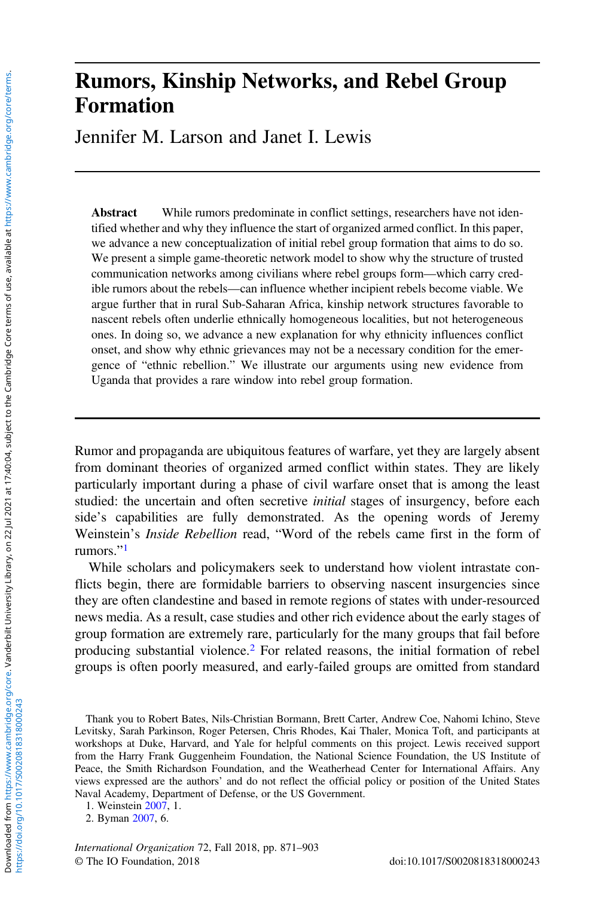# Rumors, Kinship Networks, and Rebel Group Formation

Jennifer M. Larson and Janet I. Lewis

Abstract While rumors predominate in conflict settings, researchers have not identified whether and why they influence the start of organized armed conflict. In this paper, we advance a new conceptualization of initial rebel group formation that aims to do so. We present a simple game-theoretic network model to show why the structure of trusted communication networks among civilians where rebel groups form—which carry credible rumors about the rebels—can influence whether incipient rebels become viable. We argue further that in rural Sub-Saharan Africa, kinship network structures favorable to nascent rebels often underlie ethnically homogeneous localities, but not heterogeneous ones. In doing so, we advance a new explanation for why ethnicity influences conflict onset, and show why ethnic grievances may not be a necessary condition for the emergence of "ethnic rebellion." We illustrate our arguments using new evidence from Uganda that provides a rare window into rebel group formation.

Rumor and propaganda are ubiquitous features of warfare, yet they are largely absent from dominant theories of organized armed conflict within states. They are likely particularly important during a phase of civil warfare onset that is among the least studied: the uncertain and often secretive *initial* stages of insurgency, before each side's capabilities are fully demonstrated. As the opening words of Jeremy Weinstein's Inside Rebellion read, "Word of the rebels came first in the form of rumors."<sup>1</sup>

While scholars and policymakers seek to understand how violent intrastate conflicts begin, there are formidable barriers to observing nascent insurgencies since they are often clandestine and based in remote regions of states with under-resourced news media. As a result, case studies and other rich evidence about the early stages of group formation are extremely rare, particularly for the many groups that fail before producing substantial violence.<sup>2</sup> For related reasons, the initial formation of rebel groups is often poorly measured, and early-failed groups are omitted from standard

Thank you to Robert Bates, Nils-Christian Bormann, Brett Carter, Andrew Coe, Nahomi Ichino, Steve Levitsky, Sarah Parkinson, Roger Petersen, Chris Rhodes, Kai Thaler, Monica Toft, and participants at workshops at Duke, Harvard, and Yale for helpful comments on this project. Lewis received support from the Harry Frank Guggenheim Foundation, the National Science Foundation, the US Institute of Peace, the Smith Richardson Foundation, and the Weatherhead Center for International Affairs. Any views expressed are the authors' and do not reflect the official policy or position of the United States Naval Academy, Department of Defense, or the US Government.

1. Weinstein [2007,](#page-32-0) 1.

2. Byman [2007,](#page-30-0) 6.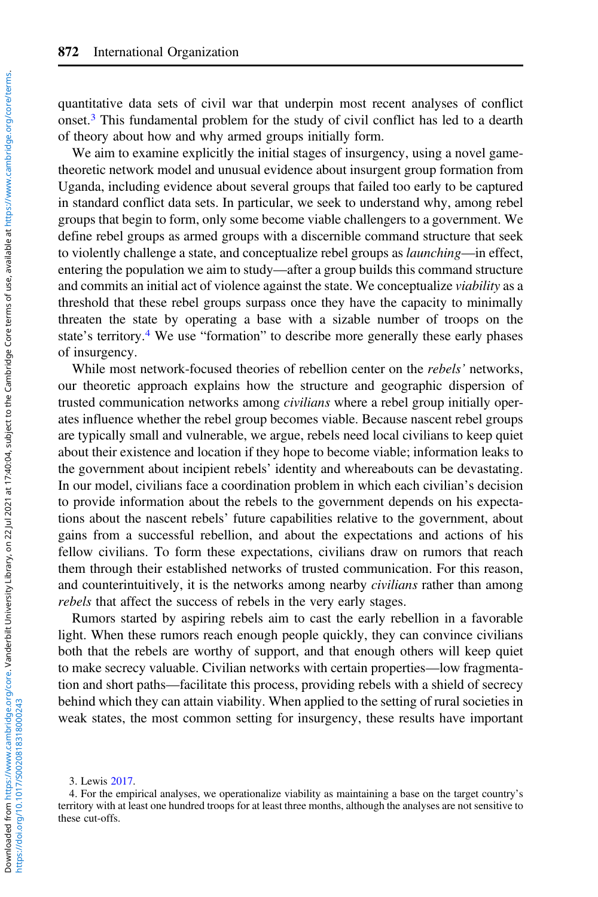quantitative data sets of civil war that underpin most recent analyses of conflict onset.<sup>3</sup> This fundamental problem for the study of civil conflict has led to a dearth of theory about how and why armed groups initially form.

We aim to examine explicitly the initial stages of insurgency, using a novel gametheoretic network model and unusual evidence about insurgent group formation from Uganda, including evidence about several groups that failed too early to be captured in standard conflict data sets. In particular, we seek to understand why, among rebel groups that begin to form, only some become viable challengers to a government. We define rebel groups as armed groups with a discernible command structure that seek to violently challenge a state, and conceptualize rebel groups as launching—in effect, entering the population we aim to study—after a group builds this command structure and commits an initial act of violence against the state. We conceptualize viability as a threshold that these rebel groups surpass once they have the capacity to minimally threaten the state by operating a base with a sizable number of troops on the state's territory.<sup>4</sup> We use "formation" to describe more generally these early phases of insurgency.

While most network-focused theories of rebellion center on the *rebels'* networks, our theoretic approach explains how the structure and geographic dispersion of trusted communication networks among *civilians* where a rebel group initially operates influence whether the rebel group becomes viable. Because nascent rebel groups are typically small and vulnerable, we argue, rebels need local civilians to keep quiet about their existence and location if they hope to become viable; information leaks to the government about incipient rebels' identity and whereabouts can be devastating. In our model, civilians face a coordination problem in which each civilian's decision to provide information about the rebels to the government depends on his expectations about the nascent rebels' future capabilities relative to the government, about gains from a successful rebellion, and about the expectations and actions of his fellow civilians. To form these expectations, civilians draw on rumors that reach them through their established networks of trusted communication. For this reason, and counterintuitively, it is the networks among nearby *civilians* rather than among rebels that affect the success of rebels in the very early stages.

Rumors started by aspiring rebels aim to cast the early rebellion in a favorable light. When these rumors reach enough people quickly, they can convince civilians both that the rebels are worthy of support, and that enough others will keep quiet to make secrecy valuable. Civilian networks with certain properties—low fragmentation and short paths—facilitate this process, providing rebels with a shield of secrecy behind which they can attain viability. When applied to the setting of rural societies in weak states, the most common setting for insurgency, these results have important

<sup>3.</sup> Lewis [2017.](#page-31-0)

<sup>4.</sup> For the empirical analyses, we operationalize viability as maintaining a base on the target country's territory with at least one hundred troops for at least three months, although the analyses are not sensitive to these cut-offs.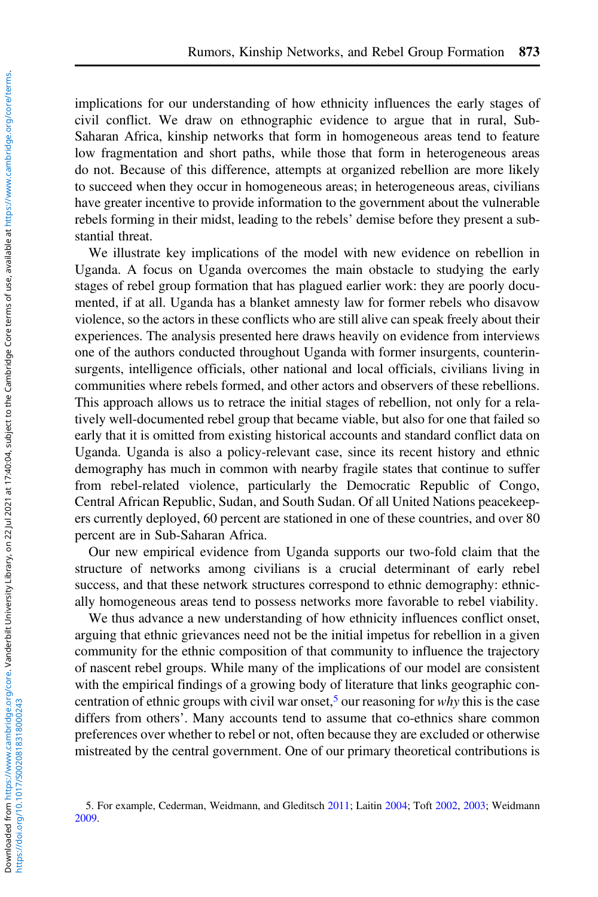implications for our understanding of how ethnicity influences the early stages of civil conflict. We draw on ethnographic evidence to argue that in rural, Sub-Saharan Africa, kinship networks that form in homogeneous areas tend to feature low fragmentation and short paths, while those that form in heterogeneous areas do not. Because of this difference, attempts at organized rebellion are more likely to succeed when they occur in homogeneous areas; in heterogeneous areas, civilians have greater incentive to provide information to the government about the vulnerable rebels forming in their midst, leading to the rebels' demise before they present a substantial threat.

We illustrate key implications of the model with new evidence on rebellion in Uganda. A focus on Uganda overcomes the main obstacle to studying the early stages of rebel group formation that has plagued earlier work: they are poorly documented, if at all. Uganda has a blanket amnesty law for former rebels who disavow violence, so the actors in these conflicts who are still alive can speak freely about their experiences. The analysis presented here draws heavily on evidence from interviews one of the authors conducted throughout Uganda with former insurgents, counterinsurgents, intelligence officials, other national and local officials, civilians living in communities where rebels formed, and other actors and observers of these rebellions. This approach allows us to retrace the initial stages of rebellion, not only for a relatively well-documented rebel group that became viable, but also for one that failed so early that it is omitted from existing historical accounts and standard conflict data on Uganda. Uganda is also a policy-relevant case, since its recent history and ethnic demography has much in common with nearby fragile states that continue to suffer from rebel-related violence, particularly the Democratic Republic of Congo, Central African Republic, Sudan, and South Sudan. Of all United Nations peacekeepers currently deployed, 60 percent are stationed in one of these countries, and over 80 percent are in Sub-Saharan Africa.

Our new empirical evidence from Uganda supports our two-fold claim that the structure of networks among civilians is a crucial determinant of early rebel success, and that these network structures correspond to ethnic demography: ethnically homogeneous areas tend to possess networks more favorable to rebel viability.

We thus advance a new understanding of how ethnicity influences conflict onset, arguing that ethnic grievances need not be the initial impetus for rebellion in a given community for the ethnic composition of that community to influence the trajectory of nascent rebel groups. While many of the implications of our model are consistent with the empirical findings of a growing body of literature that links geographic concentration of ethnic groups with civil war onset,<sup>5</sup> our reasoning for why this is the case differs from others'. Many accounts tend to assume that co-ethnics share common preferences over whether to rebel or not, often because they are excluded or otherwise mistreated by the central government. One of our primary theoretical contributions is

<sup>5.</sup> For example, Cederman, Weidmann, and Gleditsch [2011;](#page-30-0) Laitin [2004](#page-31-0); Toft [2002,](#page-32-0) [2003;](#page-32-0) Weidmann [2009.](#page-32-0)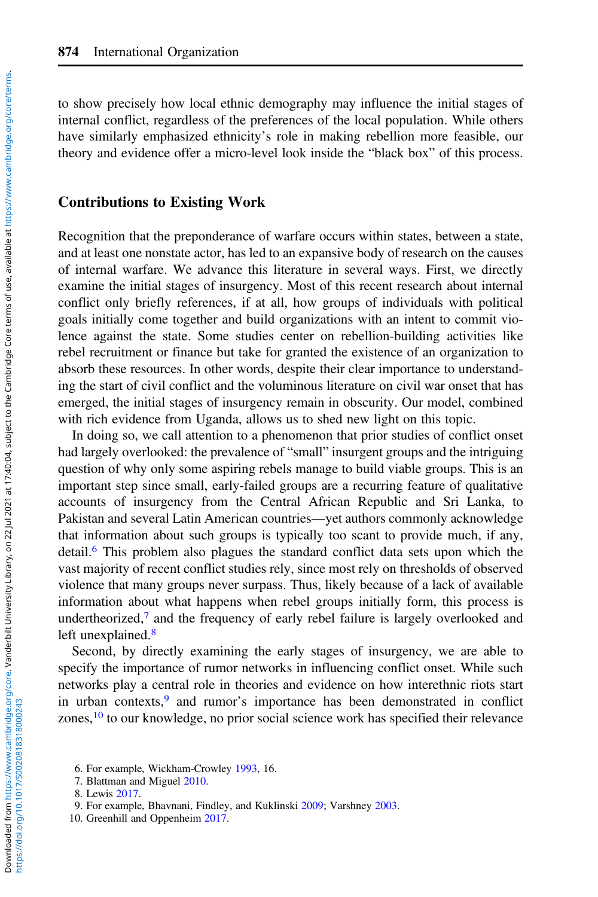to show precisely how local ethnic demography may influence the initial stages of internal conflict, regardless of the preferences of the local population. While others have similarly emphasized ethnicity's role in making rebellion more feasible, our theory and evidence offer a micro-level look inside the "black box" of this process.

#### Contributions to Existing Work

Recognition that the preponderance of warfare occurs within states, between a state, and at least one nonstate actor, has led to an expansive body of research on the causes of internal warfare. We advance this literature in several ways. First, we directly examine the initial stages of insurgency. Most of this recent research about internal conflict only briefly references, if at all, how groups of individuals with political goals initially come together and build organizations with an intent to commit violence against the state. Some studies center on rebellion-building activities like rebel recruitment or finance but take for granted the existence of an organization to absorb these resources. In other words, despite their clear importance to understanding the start of civil conflict and the voluminous literature on civil war onset that has emerged, the initial stages of insurgency remain in obscurity. Our model, combined with rich evidence from Uganda, allows us to shed new light on this topic.

In doing so, we call attention to a phenomenon that prior studies of conflict onset had largely overlooked: the prevalence of "small" insurgent groups and the intriguing question of why only some aspiring rebels manage to build viable groups. This is an important step since small, early-failed groups are a recurring feature of qualitative accounts of insurgency from the Central African Republic and Sri Lanka, to Pakistan and several Latin American countries—yet authors commonly acknowledge that information about such groups is typically too scant to provide much, if any, detail.<sup>6</sup> This problem also plagues the standard conflict data sets upon which the vast majority of recent conflict studies rely, since most rely on thresholds of observed violence that many groups never surpass. Thus, likely because of a lack of available information about what happens when rebel groups initially form, this process is undertheorized, $\bar{z}$  and the frequency of early rebel failure is largely overlooked and left unexplained.<sup>8</sup>

Second, by directly examining the early stages of insurgency, we are able to specify the importance of rumor networks in influencing conflict onset. While such networks play a central role in theories and evidence on how interethnic riots start in urban contexts,<sup>9</sup> and rumor's importance has been demonstrated in conflict zones,<sup>10</sup> to our knowledge, no prior social science work has specified their relevance

<sup>6.</sup> For example, Wickham-Crowley [1993,](#page-32-0) 16.

<sup>7.</sup> Blattman and Miguel [2010.](#page-30-0)

<sup>8.</sup> Lewis [2017.](#page-31-0)

<sup>9.</sup> For example, Bhavnani, Findley, and Kuklinski [2009;](#page-30-0) Varshney [2003.](#page-32-0)

<sup>10.</sup> Greenhill and Oppenheim [2017.](#page-31-0)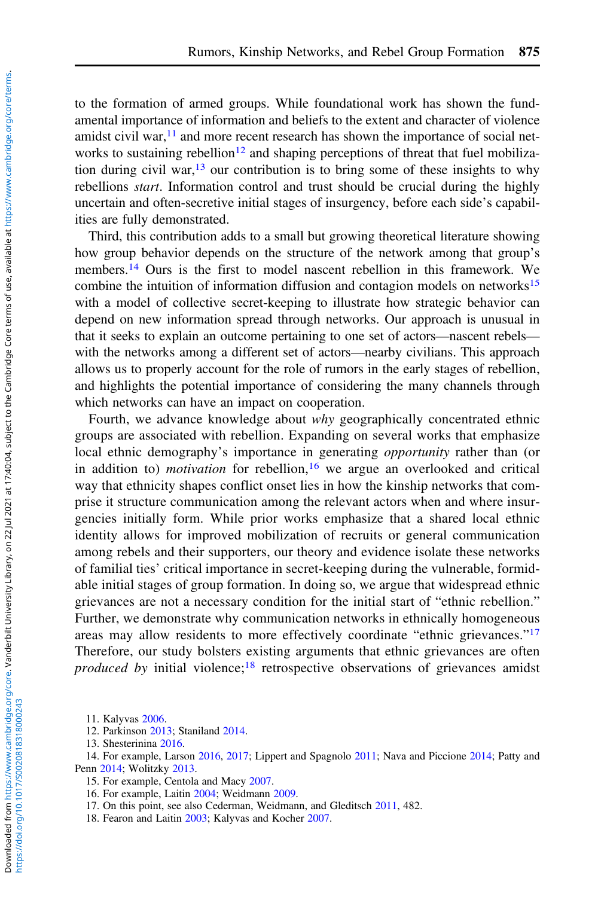to the formation of armed groups. While foundational work has shown the fundamental importance of information and beliefs to the extent and character of violence amidst civil war, $<sup>11</sup>$  and more recent research has shown the importance of social net-</sup> works to sustaining rebellion<sup>12</sup> and shaping perceptions of threat that fuel mobilization during civil war,  $13$  our contribution is to bring some of these insights to why rebellions start. Information control and trust should be crucial during the highly uncertain and often-secretive initial stages of insurgency, before each side's capabilities are fully demonstrated.

Third, this contribution adds to a small but growing theoretical literature showing how group behavior depends on the structure of the network among that group's members.<sup>14</sup> Ours is the first to model nascent rebellion in this framework. We combine the intuition of information diffusion and contagion models on networks<sup>15</sup> with a model of collective secret-keeping to illustrate how strategic behavior can depend on new information spread through networks. Our approach is unusual in that it seeks to explain an outcome pertaining to one set of actors—nascent rebels with the networks among a different set of actors—nearby civilians. This approach allows us to properly account for the role of rumors in the early stages of rebellion, and highlights the potential importance of considering the many channels through which networks can have an impact on cooperation.

Fourth, we advance knowledge about why geographically concentrated ethnic groups are associated with rebellion. Expanding on several works that emphasize local ethnic demography's importance in generating *opportunity* rather than (or in addition to) *motivation* for rebellion,<sup>16</sup> we argue an overlooked and critical way that ethnicity shapes conflict onset lies in how the kinship networks that comprise it structure communication among the relevant actors when and where insurgencies initially form. While prior works emphasize that a shared local ethnic identity allows for improved mobilization of recruits or general communication among rebels and their supporters, our theory and evidence isolate these networks of familial ties' critical importance in secret-keeping during the vulnerable, formidable initial stages of group formation. In doing so, we argue that widespread ethnic grievances are not a necessary condition for the initial start of "ethnic rebellion." Further, we demonstrate why communication networks in ethnically homogeneous areas may allow residents to more effectively coordinate "ethnic grievances."<sup>17</sup> Therefore, our study bolsters existing arguments that ethnic grievances are often produced by initial violence;<sup>18</sup> retrospective observations of grievances amidst

<sup>11.</sup> Kalyvas [2006.](#page-31-0)

<sup>12.</sup> Parkinson [2013](#page-31-0); Staniland [2014](#page-32-0).

<sup>13.</sup> Shesterinina [2016.](#page-32-0)

<sup>14.</sup> For example, Larson [2016](#page-31-0), [2017;](#page-31-0) Lippert and Spagnolo [2011](#page-31-0); Nava and Piccione [2014](#page-31-0); Patty and Penn [2014](#page-31-0); Wolitzky [2013.](#page-32-0)

<sup>15.</sup> For example, Centola and Macy [2007](#page-30-0).

<sup>16.</sup> For example, Laitin [2004;](#page-31-0) Weidmann [2009.](#page-32-0)

<sup>17.</sup> On this point, see also Cederman, Weidmann, and Gleditsch [2011,](#page-30-0) 482.

<sup>18.</sup> Fearon and Laitin [2003;](#page-30-0) Kalyvas and Kocher [2007.](#page-31-0)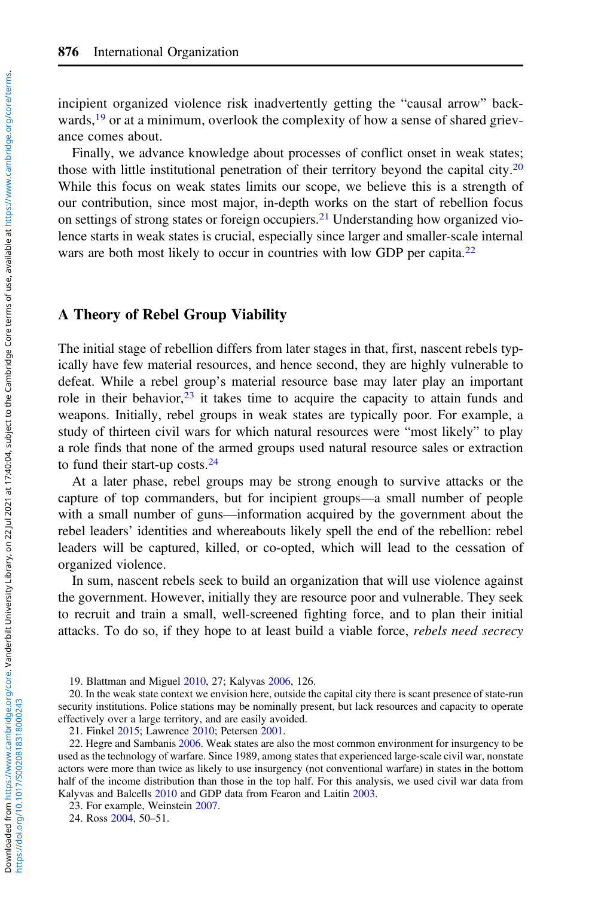incipient organized violence risk inadvertently getting the "causal arrow" backwards,<sup>19</sup> or at a minimum, overlook the complexity of how a sense of shared grievance comes about.

Finally, we advance knowledge about processes of conflict onset in weak states; those with little institutional penetration of their territory beyond the capital city.<sup>20</sup> While this focus on weak states limits our scope, we believe this is a strength of our contribution, since most major, in-depth works on the start of rebellion focus on settings of strong states or foreign occupiers.<sup>21</sup> Understanding how organized violence starts in weak states is crucial, especially since larger and smaller-scale internal wars are both most likely to occur in countries with low GDP per capita.<sup>22</sup>

# A Theory of Rebel Group Viability

The initial stage of rebellion differs from later stages in that, first, nascent rebels typically have few material resources, and hence second, they are highly vulnerable to defeat. While a rebel group's material resource base may later play an important role in their behavior, $2<sup>3</sup>$  it takes time to acquire the capacity to attain funds and weapons. Initially, rebel groups in weak states are typically poor. For example, a study of thirteen civil wars for which natural resources were "most likely" to play a role finds that none of the armed groups used natural resource sales or extraction to fund their start-up costs.<sup>24</sup>

At a later phase, rebel groups may be strong enough to survive attacks or the capture of top commanders, but for incipient groups—a small number of people with a small number of guns—information acquired by the government about the rebel leaders' identities and whereabouts likely spell the end of the rebellion: rebel leaders will be captured, killed, or co-opted, which will lead to the cessation of organized violence.

In sum, nascent rebels seek to build an organization that will use violence against the government. However, initially they are resource poor and vulnerable. They seek to recruit and train a small, well-screened fighting force, and to plan their initial attacks. To do so, if they hope to at least build a viable force, rebels need secrecy

<sup>19.</sup> Blattman and Miguel [2010,](#page-30-0) 27; Kalyvas [2006,](#page-31-0) 126.

<sup>20.</sup> In the weak state context we envision here, outside the capital city there is scant presence of state-run security institutions. Police stations may be nominally present, but lack resources and capacity to operate effectively over a large territory, and are easily avoided.

<sup>21.</sup> Finkel [2015;](#page-30-0) Lawrence [2010;](#page-31-0) Petersen [2001](#page-31-0).

<sup>22.</sup> Hegre and Sambanis [2006.](#page-31-0) Weak states are also the most common environment for insurgency to be used as the technology of warfare. Since 1989, among states that experienced large-scale civil war, nonstate actors were more than twice as likely to use insurgency (not conventional warfare) in states in the bottom half of the income distribution than those in the top half. For this analysis, we used civil war data from Kalyvas and Balcells [2010](#page-31-0) and GDP data from Fearon and Laitin [2003.](#page-30-0)

<sup>23.</sup> For example, Weinstein [2007](#page-32-0).

<sup>24.</sup> Ross [2004](#page-31-0), 50–51.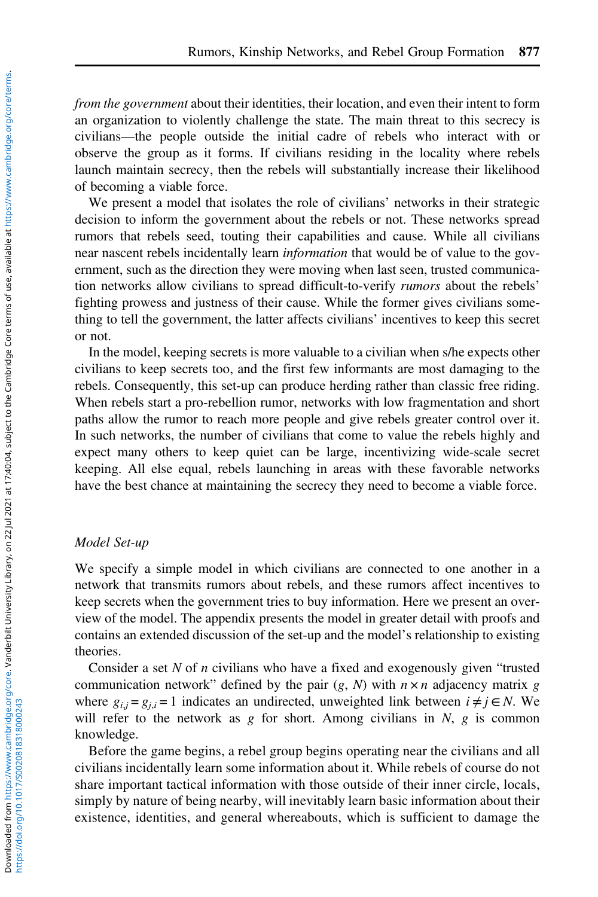from the government about their identities, their location, and even their intent to form an organization to violently challenge the state. The main threat to this secrecy is civilians—the people outside the initial cadre of rebels who interact with or observe the group as it forms. If civilians residing in the locality where rebels launch maintain secrecy, then the rebels will substantially increase their likelihood of becoming a viable force.

We present a model that isolates the role of civilians' networks in their strategic decision to inform the government about the rebels or not. These networks spread rumors that rebels seed, touting their capabilities and cause. While all civilians near nascent rebels incidentally learn *information* that would be of value to the government, such as the direction they were moving when last seen, trusted communication networks allow civilians to spread difficult-to-verify *rumors* about the rebels' fighting prowess and justness of their cause. While the former gives civilians something to tell the government, the latter affects civilians' incentives to keep this secret or not.

In the model, keeping secrets is more valuable to a civilian when s/he expects other civilians to keep secrets too, and the first few informants are most damaging to the rebels. Consequently, this set-up can produce herding rather than classic free riding. When rebels start a pro-rebellion rumor, networks with low fragmentation and short paths allow the rumor to reach more people and give rebels greater control over it. In such networks, the number of civilians that come to value the rebels highly and expect many others to keep quiet can be large, incentivizing wide-scale secret keeping. All else equal, rebels launching in areas with these favorable networks have the best chance at maintaining the secrecy they need to become a viable force.

# Model Set-up

We specify a simple model in which civilians are connected to one another in a network that transmits rumors about rebels, and these rumors affect incentives to keep secrets when the government tries to buy information. Here we present an overview of the model. The appendix presents the model in greater detail with proofs and contains an extended discussion of the set-up and the model's relationship to existing theories.

Consider a set  $N$  of  $n$  civilians who have a fixed and exogenously given "trusted communication network" defined by the pair  $(g, N)$  with  $n \times n$  adjacency matrix g where  $g_{i,j} = g_{j,i} = 1$  indicates an undirected, unweighted link between  $i \neq j \in N$ . We will refer to the network as g for short. Among civilians in N, g is common knowledge.

Before the game begins, a rebel group begins operating near the civilians and all civilians incidentally learn some information about it. While rebels of course do not share important tactical information with those outside of their inner circle, locals, simply by nature of being nearby, will inevitably learn basic information about their existence, identities, and general whereabouts, which is sufficient to damage the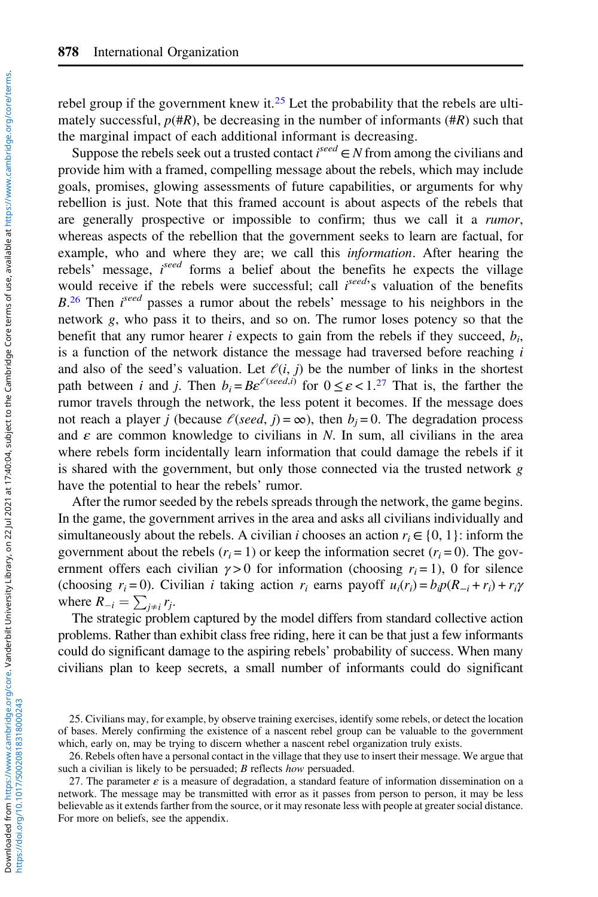rebel group if the government knew it.<sup>25</sup> Let the probability that the rebels are ultimately successful,  $p(\#R)$ , be decreasing in the number of informants ( $\#R$ ) such that the marginal impact of each additional informant is decreasing.

Suppose the rebels seek out a trusted contact  $i^{seed} \in N$  from among the civilians and provide him with a framed, compelling message about the rebels, which may include goals, promises, glowing assessments of future capabilities, or arguments for why rebellion is just. Note that this framed account is about aspects of the rebels that are generally prospective or impossible to confirm; thus we call it a *rumor*, whereas aspects of the rebellion that the government seeks to learn are factual, for example, who and where they are; we call this *information*. After hearing the rebels' message, iseed forms a belief about the benefits he expects the village would receive if the rebels were successful; call  $i^{seed}$ 's valuation of the benefits  $B<sup>26</sup>$  Then  $i<sup>seed</sup>$  passes a rumor about the rebels' message to his neighbors in the network g, who pass it to theirs, and so on. The rumor loses potency so that the benefit that any rumor hearer i expects to gain from the rebels if they succeed,  $b_i$ , is a function of the network distance the message had traversed before reaching  $i$ and also of the seed's valuation. Let  $\ell(i, j)$  be the number of links in the shortest path between *i* and *j*. Then  $b_i = Be^{e(\text{seed},i)}$  for  $0 \le \varepsilon < 1.27$  That is, the farther the rumor travels through the network, the less potent it becomes. If the message does not reach a player j (because  $\ell$ (seed, j) =  $\infty$ ), then  $b_i = 0$ . The degradation process and  $\varepsilon$  are common knowledge to civilians in N. In sum, all civilians in the area where rebels form incidentally learn information that could damage the rebels if it is shared with the government, but only those connected via the trusted network g have the potential to hear the rebels' rumor.

After the rumor seeded by the rebels spreads through the network, the game begins. In the game, the government arrives in the area and asks all civilians individually and simultaneously about the rebels. A civilian *i* chooses an action  $r_i \in \{0, 1\}$ : inform the government about the rebels  $(r<sub>i</sub> = 1)$  or keep the information secret  $(r<sub>i</sub> = 0)$ . The government offers each civilian  $\gamma > 0$  for information (choosing  $r_i = 1$ ), 0 for silence (choosing  $r_i = 0$ ). Civilian *i* taking action  $r_i$  earns payoff  $u_i(r_i) = b_i p(R_{-i} + r_i) + r_i \gamma$ where  $R_{-i} = \sum_{j \neq i} r_j$ .<br>The strategic problem

The strategic problem captured by the model differs from standard collective action problems. Rather than exhibit class free riding, here it can be that just a few informants could do significant damage to the aspiring rebels' probability of success. When many civilians plan to keep secrets, a small number of informants could do significant

<sup>25.</sup> Civilians may, for example, by observe training exercises, identify some rebels, or detect the location of bases. Merely confirming the existence of a nascent rebel group can be valuable to the government which, early on, may be trying to discern whether a nascent rebel organization truly exists.

<sup>26.</sup> Rebels often have a personal contact in the village that they use to insert their message. We argue that such a civilian is likely to be persuaded; B reflects how persuaded.

<sup>27.</sup> The parameter  $\varepsilon$  is a measure of degradation, a standard feature of information dissemination on a network. The message may be transmitted with error as it passes from person to person, it may be less believable as it extends farther from the source, or it may resonate less with people at greater social distance. For more on beliefs, see the appendix.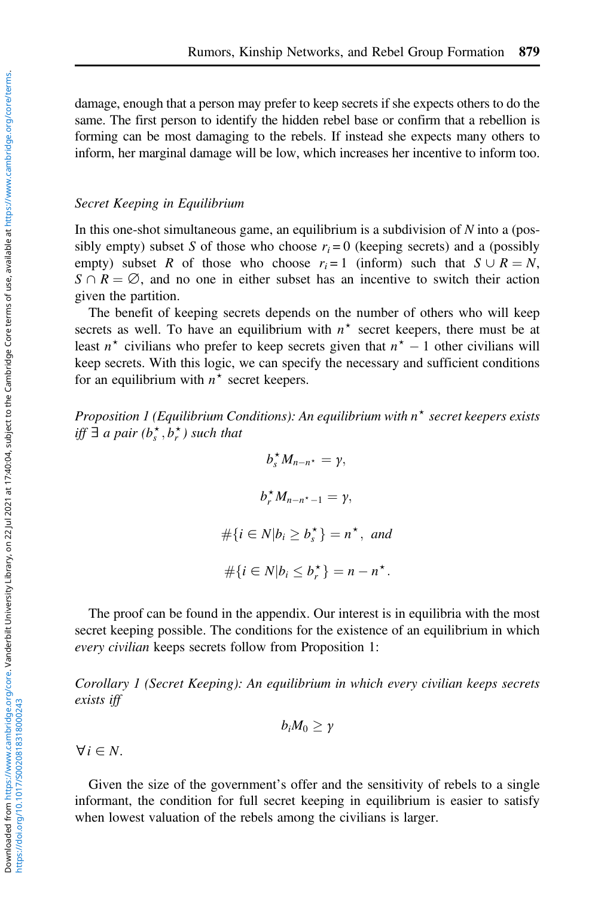damage, enough that a person may prefer to keep secrets if she expects others to do the same. The first person to identify the hidden rebel base or confirm that a rebellion is forming can be most damaging to the rebels. If instead she expects many others to inform, her marginal damage will be low, which increases her incentive to inform too.

#### Secret Keeping in Equilibrium

In this one-shot simultaneous game, an equilibrium is a subdivision of  $N$  into a (possibly empty) subset S of those who choose  $r_i = 0$  (keeping secrets) and a (possibly empty) subset R of those who choose  $r_i = 1$  (inform) such that  $S \cup R = N$ ,  $S \cap R = \emptyset$ , and no one in either subset has an incentive to switch their action given the partition.

The benefit of keeping secrets depends on the number of others who will keep secrets as well. To have an equilibrium with  $n^*$  secret keepers, there must be at least  $n^*$  civilians who prefer to keep secrets given that  $n^* - 1$  other civilians will keep secrets. With this logic, we can specify the necessary and sufficient conditions for an equilibrium with  $n^*$  secret keepers.

Proposition 1 (Equilibrium Conditions): An equilibrium with  $n^*$  secret keepers exists iff  $\exists$  a pair ( $b_s^{\star}, b_r^{\star}$ ) such that

> $b_s^{\star} M_{n-n^{\star}} = \gamma,$  $b_r^{\star} M_{n-n^{\star}-1} = \gamma,$  $\#\{i \in N | b_i \ge b_s^{\star}\} = n^{\star}, \text{ and}$  $\#\{i\in N|b_i\leq b_r^{\star}\}=n-n^{\star}.$

The proof can be found in the appendix. Our interest is in equilibria with the most secret keeping possible. The conditions for the existence of an equilibrium in which every civilian keeps secrets follow from Proposition 1:

Corollary 1 (Secret Keeping): An equilibrium in which every civilian keeps secrets exists iff

$$
b_iM_0\geq \gamma
$$

 $\forall i \in N$ .

Given the size of the government's offer and the sensitivity of rebels to a single informant, the condition for full secret keeping in equilibrium is easier to satisfy when lowest valuation of the rebels among the civilians is larger.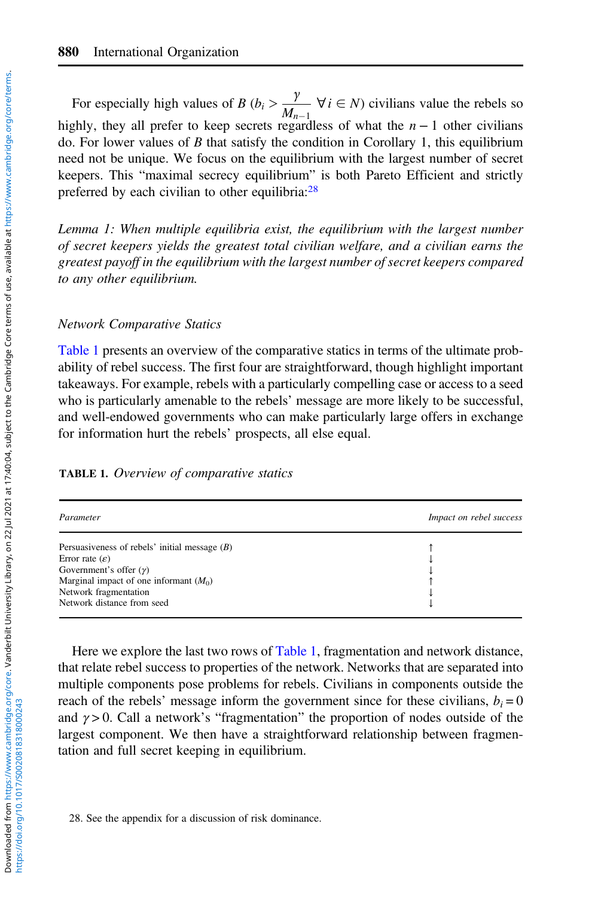For especially high values of B ( $b_i > \frac{\gamma}{M}$  $\frac{N}{M_{n-1}}$   $\forall i \in N$ ) civilians value the rebels so<br>egardless of what the  $n-1$  other civilians highly, they all prefer to keep secrets regardless of what the  $n - 1$  other civilians do. For lower values of  $B$  that satisfy the condition in Corollary 1, this equilibrium need not be unique. We focus on the equilibrium with the largest number of secret keepers. This "maximal secrecy equilibrium" is both Pareto Efficient and strictly preferred by each civilian to other equilibria: $28$ 

Lemma 1: When multiple equilibria exist, the equilibrium with the largest number of secret keepers yields the greatest total civilian welfare, and a civilian earns the greatest payoff in the equilibrium with the largest number of secret keepers compared to any other equilibrium.

#### Network Comparative Statics

Table 1 presents an overview of the comparative statics in terms of the ultimate probability of rebel success. The first four are straightforward, though highlight important takeaways. For example, rebels with a particularly compelling case or access to a seed who is particularly amenable to the rebels' message are more likely to be successful, and well-endowed governments who can make particularly large offers in exchange for information hurt the rebels' prospects, all else equal.

|  | TABLE 1. Overview of comparative statics |  |  |  |
|--|------------------------------------------|--|--|--|
|--|------------------------------------------|--|--|--|

| Parameter                                       | Impact on rebel success |
|-------------------------------------------------|-------------------------|
| Persuasiveness of rebels' initial message $(B)$ |                         |
| Error rate $(\varepsilon)$                      |                         |
| Government's offer $(y)$                        |                         |
| Marginal impact of one informant $(M0)$         |                         |
| Network fragmentation                           |                         |
| Network distance from seed                      |                         |

Here we explore the last two rows of Table 1, fragmentation and network distance, that relate rebel success to properties of the network. Networks that are separated into multiple components pose problems for rebels. Civilians in components outside the reach of the rebels' message inform the government since for these civilians,  $b_i = 0$ and  $\gamma > 0$ . Call a network's "fragmentation" the proportion of nodes outside of the largest component. We then have a straightforward relationship between fragmentation and full secret keeping in equilibrium.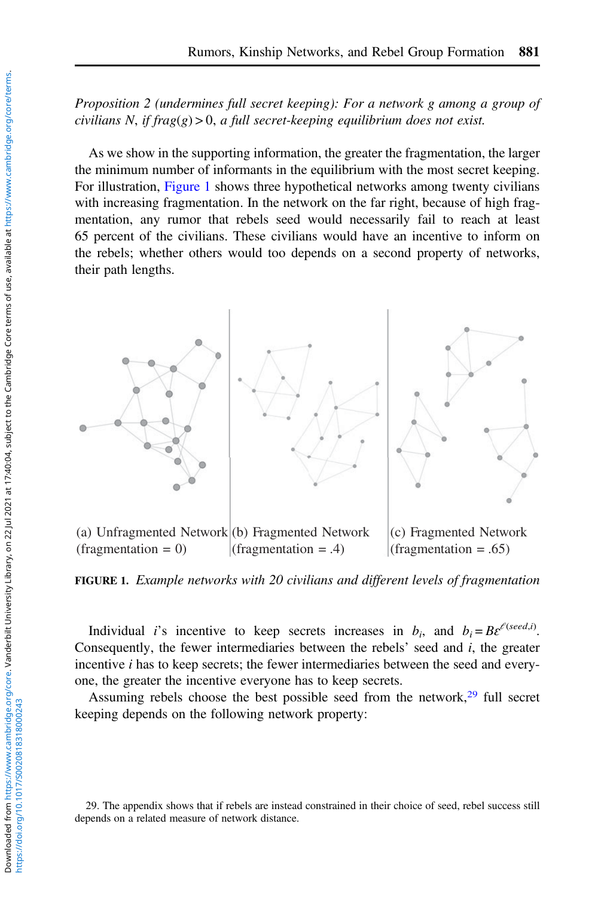# Proposition 2 (undermines full secret keeping): For a network g among a group of civilians N, if frag $(g) > 0$ , a full secret-keeping equilibrium does not exist.

As we show in the supporting information, the greater the fragmentation, the larger the minimum number of informants in the equilibrium with the most secret keeping. For illustration, Figure 1 shows three hypothetical networks among twenty civilians with increasing fragmentation. In the network on the far right, because of high fragmentation, any rumor that rebels seed would necessarily fail to reach at least 65 percent of the civilians. These civilians would have an incentive to inform on the rebels; whether others would too depends on a second property of networks, their path lengths.



 $(fragmentation = 0)$ (fragmentation  $= .4$ ) (fragmentation  $= .65$ )

FIGURE 1. Example networks with 20 civilians and different levels of fragmentation

Individual *i*'s incentive to keep secrets increases in  $b_i$ , and  $b_i = Be^{f(seed,i)}$ . Consequently, the fewer intermediaries between the rebels' seed and  $i$ , the greater incentive *i* has to keep secrets; the fewer intermediaries between the seed and everyone, the greater the incentive everyone has to keep secrets.

Assuming rebels choose the best possible seed from the network, $29$  full secret keeping depends on the following network property:

<sup>29.</sup> The appendix shows that if rebels are instead constrained in their choice of seed, rebel success still depends on a related measure of network distance.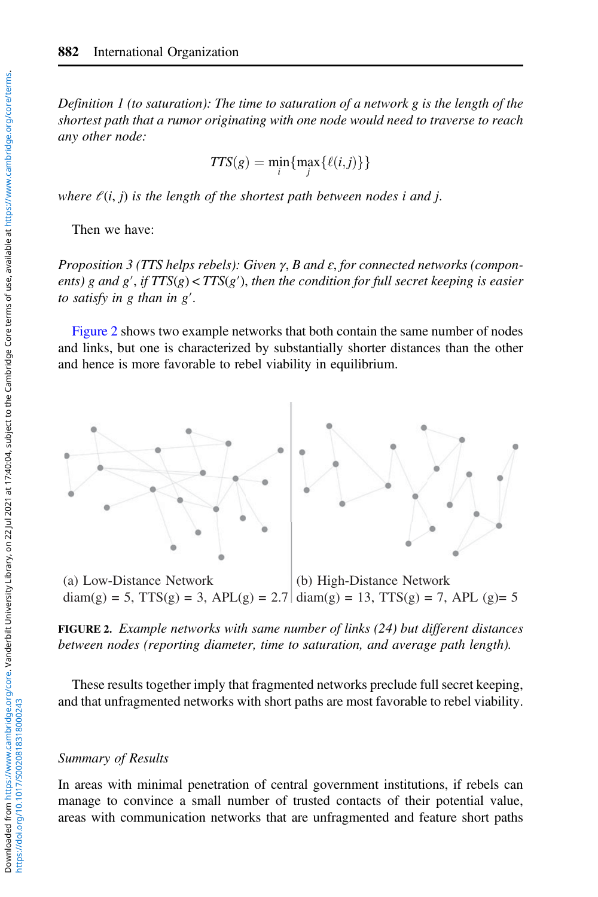Definition 1 (to saturation): The time to saturation of a network g is the length of the shortest path that a rumor originating with one node would need to traverse to reach any other node:

$$
TTS(g) = \min_i \{ \max_j \{ \ell(i,j) \} \}
$$

where  $\ell(i, j)$  is the length of the shortest path between nodes i and j.

Then we have:

Proposition 3 (TTS helps rebels): Given  $\gamma$ , B and  $\varepsilon$ , for connected networks (components) g and g', if  $TTS(g) < TTS(g')$ , then the condition for full secret keeping is easier to satisfy in g than in g′.

Figure 2 shows two example networks that both contain the same number of nodes and links, but one is characterized by substantially shorter distances than the other and hence is more favorable to rebel viability in equilibrium.



 $diam(g) = 5$ ,  $TTS(g) = 3$ ,  $APL(g) = 2.7 | diam(g) = 13$ ,  $TTS(g) = 7$ ,  $APL(g) = 5$ 

FIGURE 2. Example networks with same number of links (24) but different distances between nodes (reporting diameter, time to saturation, and average path length).

These results together imply that fragmented networks preclude full secret keeping, and that unfragmented networks with short paths are most favorable to rebel viability.

# Summary of Results

In areas with minimal penetration of central government institutions, if rebels can manage to convince a small number of trusted contacts of their potential value, areas with communication networks that are unfragmented and feature short paths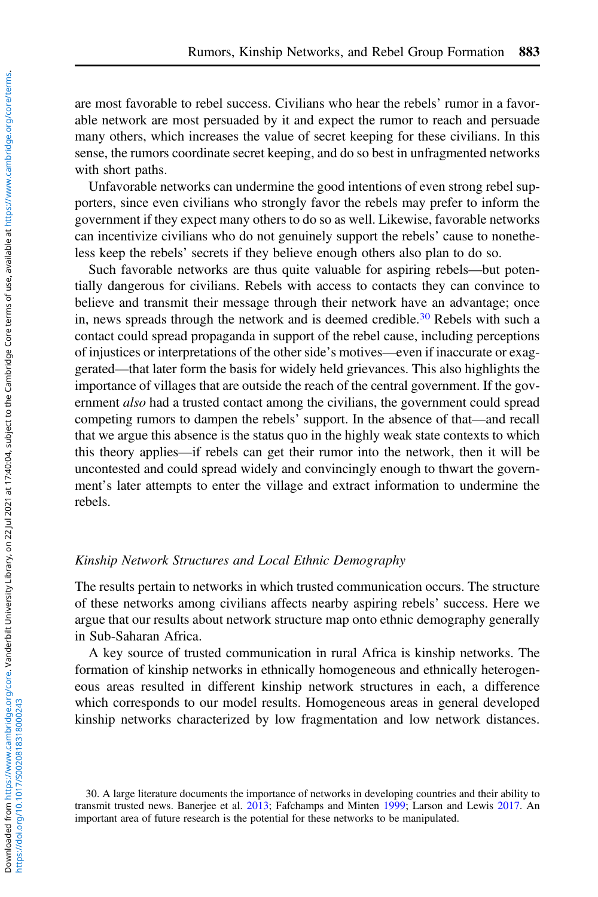are most favorable to rebel success. Civilians who hear the rebels' rumor in a favorable network are most persuaded by it and expect the rumor to reach and persuade many others, which increases the value of secret keeping for these civilians. In this sense, the rumors coordinate secret keeping, and do so best in unfragmented networks with short paths.

Unfavorable networks can undermine the good intentions of even strong rebel supporters, since even civilians who strongly favor the rebels may prefer to inform the government if they expect many others to do so as well. Likewise, favorable networks can incentivize civilians who do not genuinely support the rebels' cause to nonetheless keep the rebels' secrets if they believe enough others also plan to do so.

Such favorable networks are thus quite valuable for aspiring rebels—but potentially dangerous for civilians. Rebels with access to contacts they can convince to believe and transmit their message through their network have an advantage; once in, news spreads through the network and is deemed credible.<sup>30</sup> Rebels with such a contact could spread propaganda in support of the rebel cause, including perceptions of injustices or interpretations of the other side's motives—even if inaccurate or exaggerated—that later form the basis for widely held grievances. This also highlights the importance of villages that are outside the reach of the central government. If the government *also* had a trusted contact among the civilians, the government could spread competing rumors to dampen the rebels' support. In the absence of that—and recall that we argue this absence is the status quo in the highly weak state contexts to which this theory applies—if rebels can get their rumor into the network, then it will be uncontested and could spread widely and convincingly enough to thwart the government's later attempts to enter the village and extract information to undermine the rebels.

# Kinship Network Structures and Local Ethnic Demography

The results pertain to networks in which trusted communication occurs. The structure of these networks among civilians affects nearby aspiring rebels' success. Here we argue that our results about network structure map onto ethnic demography generally in Sub-Saharan Africa.

A key source of trusted communication in rural Africa is kinship networks. The formation of kinship networks in ethnically homogeneous and ethnically heterogeneous areas resulted in different kinship network structures in each, a difference which corresponds to our model results. Homogeneous areas in general developed kinship networks characterized by low fragmentation and low network distances.

30. A large literature documents the importance of networks in developing countries and their ability to transmit trusted news. Banerjee et al. [2013](#page-30-0); Fafchamps and Minten [1999;](#page-30-0) Larson and Lewis [2017](#page-31-0). An important area of future research is the potential for these networks to be manipulated.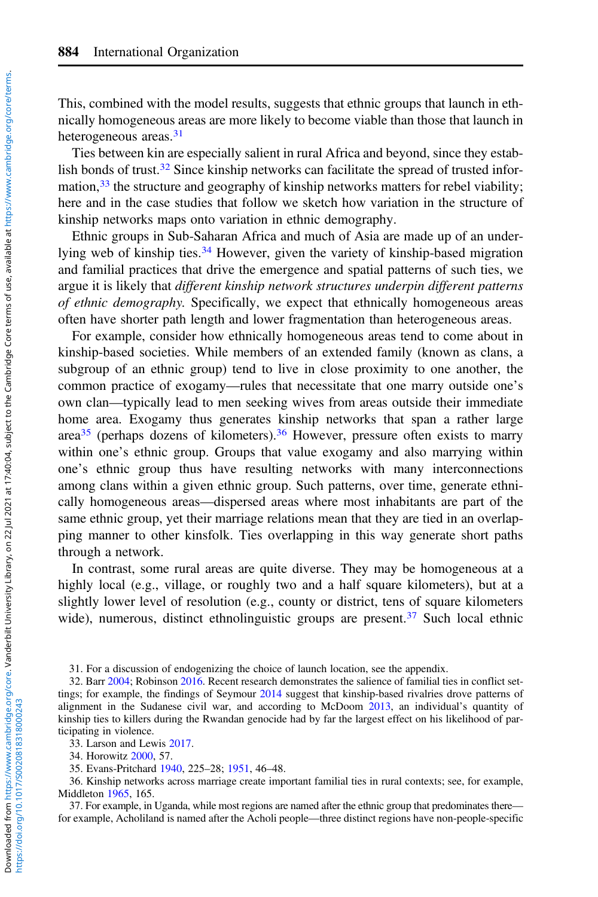This, combined with the model results, suggests that ethnic groups that launch in ethnically homogeneous areas are more likely to become viable than those that launch in heterogeneous areas.<sup>31</sup>

Ties between kin are especially salient in rural Africa and beyond, since they establish bonds of trust. $32$  Since kinship networks can facilitate the spread of trusted information,  $33$  the structure and geography of kinship networks matters for rebel viability; here and in the case studies that follow we sketch how variation in the structure of kinship networks maps onto variation in ethnic demography.

Ethnic groups in Sub-Saharan Africa and much of Asia are made up of an underlying web of kinship ties.<sup>34</sup> However, given the variety of kinship-based migration and familial practices that drive the emergence and spatial patterns of such ties, we argue it is likely that different kinship network structures underpin different patterns of ethnic demography. Specifically, we expect that ethnically homogeneous areas often have shorter path length and lower fragmentation than heterogeneous areas.

For example, consider how ethnically homogeneous areas tend to come about in kinship-based societies. While members of an extended family (known as clans, a subgroup of an ethnic group) tend to live in close proximity to one another, the common practice of exogamy—rules that necessitate that one marry outside one's own clan—typically lead to men seeking wives from areas outside their immediate home area. Exogamy thus generates kinship networks that span a rather large area<sup>35</sup> (perhaps dozens of kilometers).<sup>36</sup> However, pressure often exists to marry within one's ethnic group. Groups that value exogamy and also marrying within one's ethnic group thus have resulting networks with many interconnections among clans within a given ethnic group. Such patterns, over time, generate ethnically homogeneous areas—dispersed areas where most inhabitants are part of the same ethnic group, yet their marriage relations mean that they are tied in an overlapping manner to other kinsfolk. Ties overlapping in this way generate short paths through a network.

In contrast, some rural areas are quite diverse. They may be homogeneous at a highly local (e.g., village, or roughly two and a half square kilometers), but at a slightly lower level of resolution (e.g., county or district, tens of square kilometers wide), numerous, distinct ethnolinguistic groups are present.<sup>37</sup> Such local ethnic

31. For a discussion of endogenizing the choice of launch location, see the appendix.

32. Barr [2004;](#page-30-0) Robinson [2016](#page-31-0). Recent research demonstrates the salience of familial ties in conflict set-tings; for example, the findings of Seymour [2014](#page-32-0) suggest that kinship-based rivalries drove patterns of alignment in the Sudanese civil war, and according to McDoom [2013](#page-31-0), an individual's quantity of kinship ties to killers during the Rwandan genocide had by far the largest effect on his likelihood of participating in violence.

33. Larson and Lewis [2017](#page-31-0).

34. Horowitz [2000](#page-31-0), 57.

35. Evans-Pritchard [1940](#page-30-0), 225–28; [1951](#page-30-0), 46–48.

36. Kinship networks across marriage create important familial ties in rural contexts; see, for example, Middleton [1965](#page-31-0), 165.

37. For example, in Uganda, while most regions are named after the ethnic group that predominates there for example, Acholiland is named after the Acholi people—three distinct regions have non-people-specific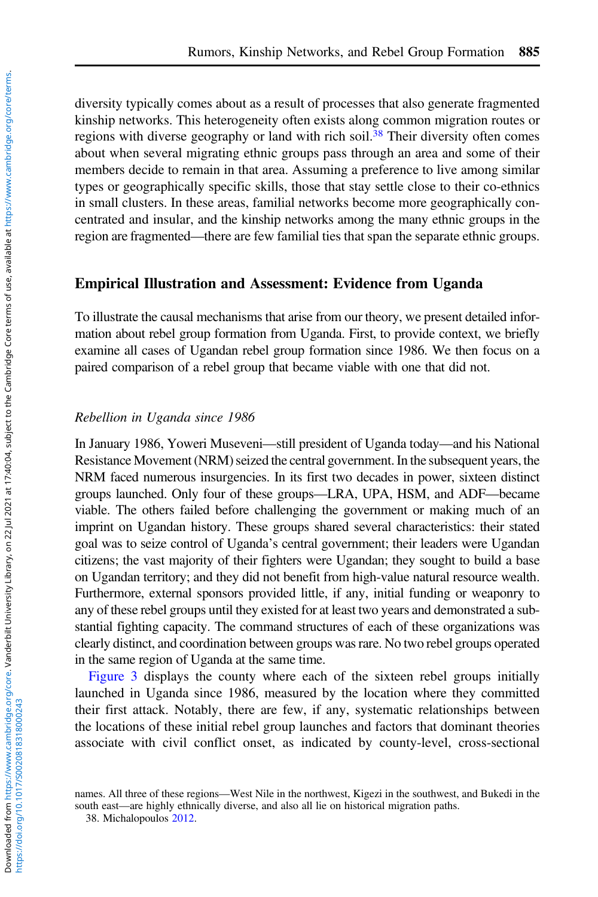diversity typically comes about as a result of processes that also generate fragmented kinship networks. This heterogeneity often exists along common migration routes or regions with diverse geography or land with rich soil.<sup>38</sup> Their diversity often comes about when several migrating ethnic groups pass through an area and some of their members decide to remain in that area. Assuming a preference to live among similar types or geographically specific skills, those that stay settle close to their co-ethnics in small clusters. In these areas, familial networks become more geographically concentrated and insular, and the kinship networks among the many ethnic groups in the region are fragmented—there are few familial ties that span the separate ethnic groups.

# Empirical Illustration and Assessment: Evidence from Uganda

To illustrate the causal mechanisms that arise from our theory, we present detailed information about rebel group formation from Uganda. First, to provide context, we briefly examine all cases of Ugandan rebel group formation since 1986. We then focus on a paired comparison of a rebel group that became viable with one that did not.

#### Rebellion in Uganda since 1986

In January 1986, Yoweri Museveni—still president of Uganda today—and his National Resistance Movement (NRM) seized the central government. In the subsequent years, the NRM faced numerous insurgencies. In its first two decades in power, sixteen distinct groups launched. Only four of these groups—LRA, UPA, HSM, and ADF—became viable. The others failed before challenging the government or making much of an imprint on Ugandan history. These groups shared several characteristics: their stated goal was to seize control of Uganda's central government; their leaders were Ugandan citizens; the vast majority of their fighters were Ugandan; they sought to build a base on Ugandan territory; and they did not benefit from high-value natural resource wealth. Furthermore, external sponsors provided little, if any, initial funding or weaponry to any of these rebel groups until they existed for at least two years and demonstrated a substantial fighting capacity. The command structures of each of these organizations was clearly distinct, and coordination between groups was rare. No two rebel groups operated in the same region of Uganda at the same time.

[Figure 3](#page-15-0) displays the county where each of the sixteen rebel groups initially launched in Uganda since 1986, measured by the location where they committed their first attack. Notably, there are few, if any, systematic relationships between the locations of these initial rebel group launches and factors that dominant theories associate with civil conflict onset, as indicated by county-level, cross-sectional

names. All three of these regions—West Nile in the northwest, Kigezi in the southwest, and Bukedi in the south east—are highly ethnically diverse, and also all lie on historical migration paths.

<sup>38.</sup> Michalopoulos [2012](#page-31-0).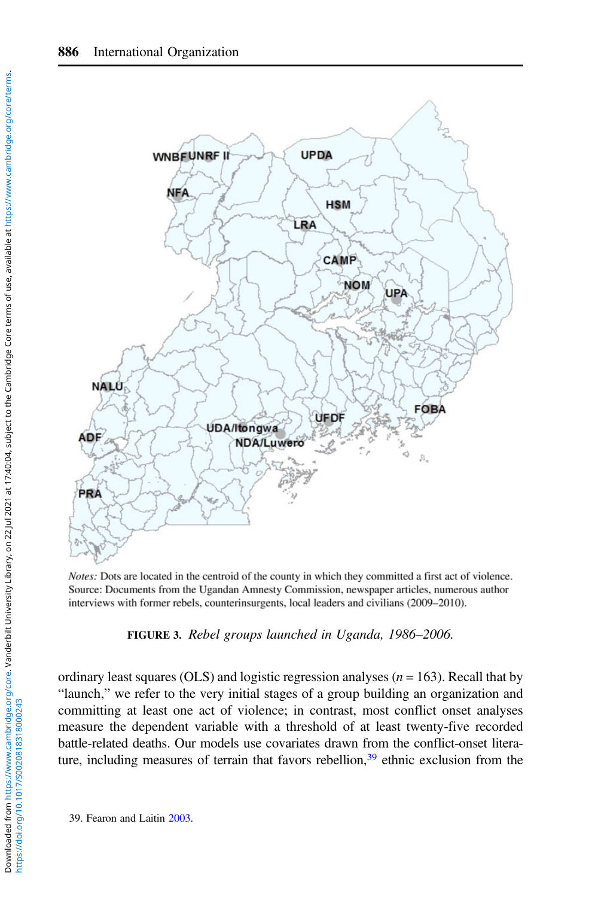<span id="page-15-0"></span>

Notes: Dots are located in the centroid of the county in which they committed a first act of violence. Source: Documents from the Ugandan Amnesty Commission, newspaper articles, numerous author interviews with former rebels, counterinsurgents, local leaders and civilians (2009–2010).

FIGURE 3. Rebel groups launched in Uganda, 1986–2006.

ordinary least squares (OLS) and logistic regression analyses ( $n = 163$ ). Recall that by "launch," we refer to the very initial stages of a group building an organization and committing at least one act of violence; in contrast, most conflict onset analyses measure the dependent variable with a threshold of at least twenty-five recorded battle-related deaths. Our models use covariates drawn from the conflict-onset literature, including measures of terrain that favors rebellion, $39$  ethnic exclusion from the

39. Fearon and Laitin [2003.](#page-30-0)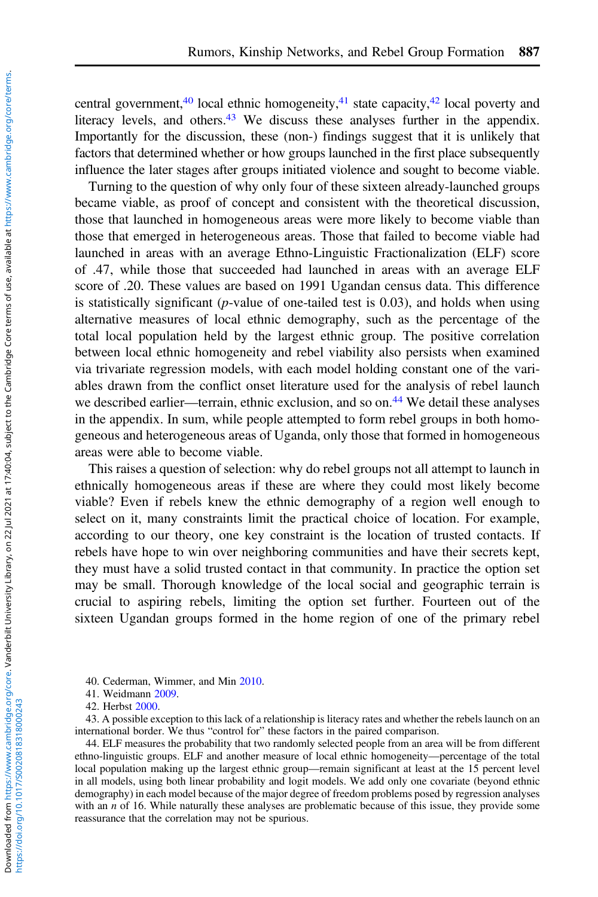central government,<sup>40</sup> local ethnic homogeneity,<sup>41</sup> state capacity,<sup>42</sup> local poverty and literacy levels, and others.<sup>43</sup> We discuss these analyses further in the appendix. Importantly for the discussion, these (non-) findings suggest that it is unlikely that factors that determined whether or how groups launched in the first place subsequently influence the later stages after groups initiated violence and sought to become viable.

Turning to the question of why only four of these sixteen already-launched groups became viable, as proof of concept and consistent with the theoretical discussion, those that launched in homogeneous areas were more likely to become viable than those that emerged in heterogeneous areas. Those that failed to become viable had launched in areas with an average Ethno-Linguistic Fractionalization (ELF) score of .47, while those that succeeded had launched in areas with an average ELF score of .20. These values are based on 1991 Ugandan census data. This difference is statistically significant ( $p$ -value of one-tailed test is 0.03), and holds when using alternative measures of local ethnic demography, such as the percentage of the total local population held by the largest ethnic group. The positive correlation between local ethnic homogeneity and rebel viability also persists when examined via trivariate regression models, with each model holding constant one of the variables drawn from the conflict onset literature used for the analysis of rebel launch we described earlier—terrain, ethnic exclusion, and so on.<sup>44</sup> We detail these analyses in the appendix. In sum, while people attempted to form rebel groups in both homogeneous and heterogeneous areas of Uganda, only those that formed in homogeneous areas were able to become viable.

This raises a question of selection: why do rebel groups not all attempt to launch in ethnically homogeneous areas if these are where they could most likely become viable? Even if rebels knew the ethnic demography of a region well enough to select on it, many constraints limit the practical choice of location. For example, according to our theory, one key constraint is the location of trusted contacts. If rebels have hope to win over neighboring communities and have their secrets kept, they must have a solid trusted contact in that community. In practice the option set may be small. Thorough knowledge of the local social and geographic terrain is crucial to aspiring rebels, limiting the option set further. Fourteen out of the sixteen Ugandan groups formed in the home region of one of the primary rebel

43. A possible exception to this lack of a relationship is literacy rates and whether the rebels launch on an international border. We thus "control for" these factors in the paired comparison.

44. ELF measures the probability that two randomly selected people from an area will be from different ethno-linguistic groups. ELF and another measure of local ethnic homogeneity—percentage of the total local population making up the largest ethnic group—remain significant at least at the 15 percent level in all models, using both linear probability and logit models. We add only one covariate (beyond ethnic demography) in each model because of the major degree of freedom problems posed by regression analyses with an  $n$  of 16. While naturally these analyses are problematic because of this issue, they provide some reassurance that the correlation may not be spurious.

<sup>40.</sup> Cederman, Wimmer, and Min [2010](#page-30-0).

<sup>41.</sup> Weidmann [2009](#page-32-0).

<sup>42.</sup> Herbst [2000.](#page-31-0)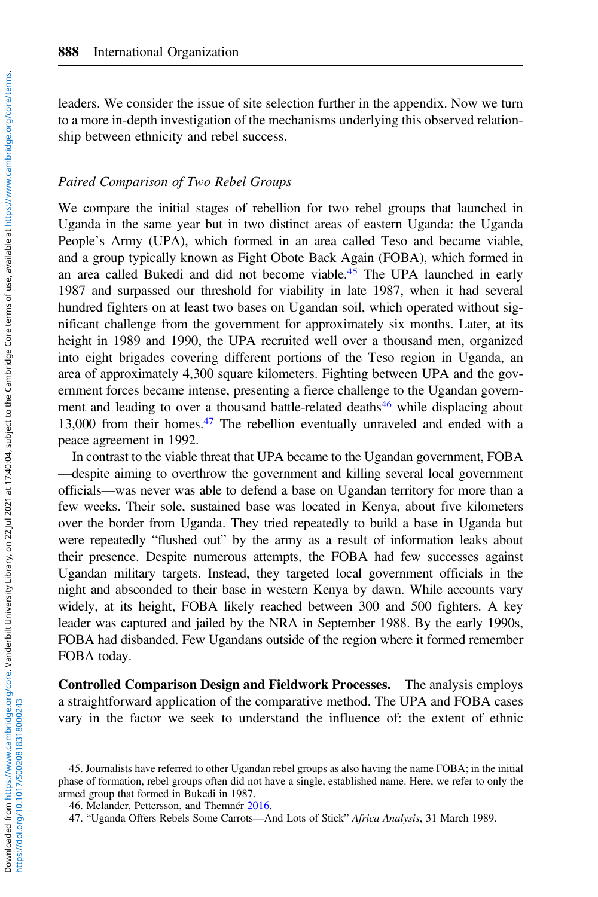leaders. We consider the issue of site selection further in the appendix. Now we turn to a more in-depth investigation of the mechanisms underlying this observed relationship between ethnicity and rebel success.

#### Paired Comparison of Two Rebel Groups

We compare the initial stages of rebellion for two rebel groups that launched in Uganda in the same year but in two distinct areas of eastern Uganda: the Uganda People's Army (UPA), which formed in an area called Teso and became viable, and a group typically known as Fight Obote Back Again (FOBA), which formed in an area called Bukedi and did not become viable.45 The UPA launched in early 1987 and surpassed our threshold for viability in late 1987, when it had several hundred fighters on at least two bases on Ugandan soil, which operated without significant challenge from the government for approximately six months. Later, at its height in 1989 and 1990, the UPA recruited well over a thousand men, organized into eight brigades covering different portions of the Teso region in Uganda, an area of approximately 4,300 square kilometers. Fighting between UPA and the government forces became intense, presenting a fierce challenge to the Ugandan government and leading to over a thousand battle-related deaths<sup>46</sup> while displacing about 13,000 from their homes.47 The rebellion eventually unraveled and ended with a peace agreement in 1992.

In contrast to the viable threat that UPA became to the Ugandan government, FOBA —despite aiming to overthrow the government and killing several local government officials—was never was able to defend a base on Ugandan territory for more than a few weeks. Their sole, sustained base was located in Kenya, about five kilometers over the border from Uganda. They tried repeatedly to build a base in Uganda but were repeatedly "flushed out" by the army as a result of information leaks about their presence. Despite numerous attempts, the FOBA had few successes against Ugandan military targets. Instead, they targeted local government officials in the night and absconded to their base in western Kenya by dawn. While accounts vary widely, at its height, FOBA likely reached between 300 and 500 fighters. A key leader was captured and jailed by the NRA in September 1988. By the early 1990s, FOBA had disbanded. Few Ugandans outside of the region where it formed remember FOBA today.

Controlled Comparison Design and Fieldwork Processes. The analysis employs a straightforward application of the comparative method. The UPA and FOBA cases vary in the factor we seek to understand the influence of: the extent of ethnic

https://doi.org/10.1017/S0020818318000243

<sup>45.</sup> Journalists have referred to other Ugandan rebel groups as also having the name FOBA; in the initial phase of formation, rebel groups often did not have a single, established name. Here, we refer to only the armed group that formed in Bukedi in 1987.

<sup>46.</sup> Melander, Pettersson, and Themnér [2016](#page-31-0).

<sup>47.</sup> "Uganda Offers Rebels Some Carrots—And Lots of Stick" Africa Analysis, 31 March 1989.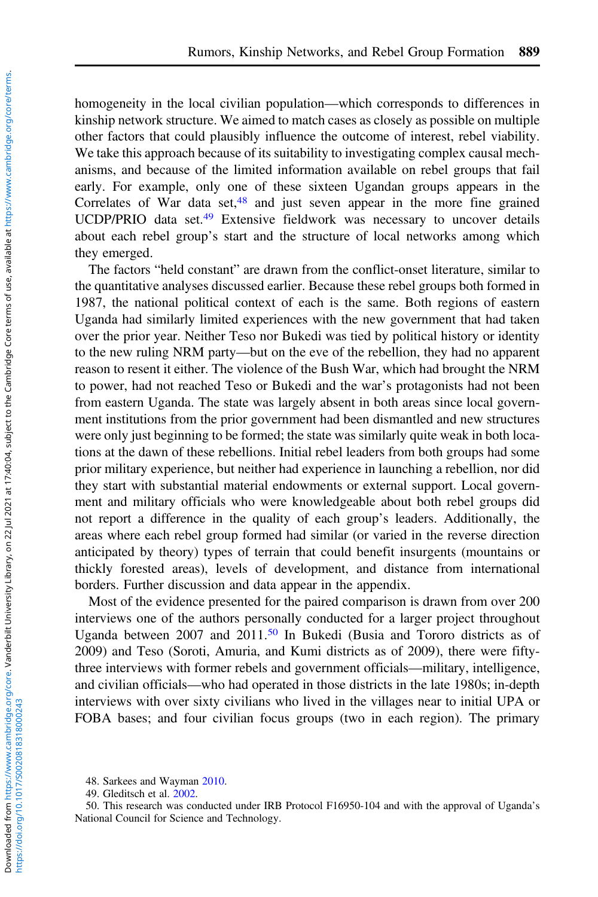homogeneity in the local civilian population—which corresponds to differences in kinship network structure. We aimed to match cases as closely as possible on multiple other factors that could plausibly influence the outcome of interest, rebel viability. We take this approach because of its suitability to investigating complex causal mechanisms, and because of the limited information available on rebel groups that fail early. For example, only one of these sixteen Ugandan groups appears in the Correlates of War data set,<sup>48</sup> and just seven appear in the more fine grained UCDP/PRIO data set.<sup>49</sup> Extensive fieldwork was necessary to uncover details about each rebel group's start and the structure of local networks among which they emerged.

The factors "held constant" are drawn from the conflict-onset literature, similar to the quantitative analyses discussed earlier. Because these rebel groups both formed in 1987, the national political context of each is the same. Both regions of eastern Uganda had similarly limited experiences with the new government that had taken over the prior year. Neither Teso nor Bukedi was tied by political history or identity to the new ruling NRM party—but on the eve of the rebellion, they had no apparent reason to resent it either. The violence of the Bush War, which had brought the NRM to power, had not reached Teso or Bukedi and the war's protagonists had not been from eastern Uganda. The state was largely absent in both areas since local government institutions from the prior government had been dismantled and new structures were only just beginning to be formed; the state was similarly quite weak in both locations at the dawn of these rebellions. Initial rebel leaders from both groups had some prior military experience, but neither had experience in launching a rebellion, nor did they start with substantial material endowments or external support. Local government and military officials who were knowledgeable about both rebel groups did not report a difference in the quality of each group's leaders. Additionally, the areas where each rebel group formed had similar (or varied in the reverse direction anticipated by theory) types of terrain that could benefit insurgents (mountains or thickly forested areas), levels of development, and distance from international borders. Further discussion and data appear in the appendix.

Most of the evidence presented for the paired comparison is drawn from over 200 interviews one of the authors personally conducted for a larger project throughout Uganda between 2007 and  $2011$ .<sup>50</sup> In Bukedi (Busia and Tororo districts as of 2009) and Teso (Soroti, Amuria, and Kumi districts as of 2009), there were fiftythree interviews with former rebels and government officials—military, intelligence, and civilian officials—who had operated in those districts in the late 1980s; in-depth interviews with over sixty civilians who lived in the villages near to initial UPA or FOBA bases; and four civilian focus groups (two in each region). The primary

<sup>48.</sup> Sarkees and Wayman [2010](#page-31-0).

<sup>49.</sup> Gleditsch et al. [2002.](#page-31-0)

<sup>50.</sup> This research was conducted under IRB Protocol F16950-104 and with the approval of Uganda's National Council for Science and Technology.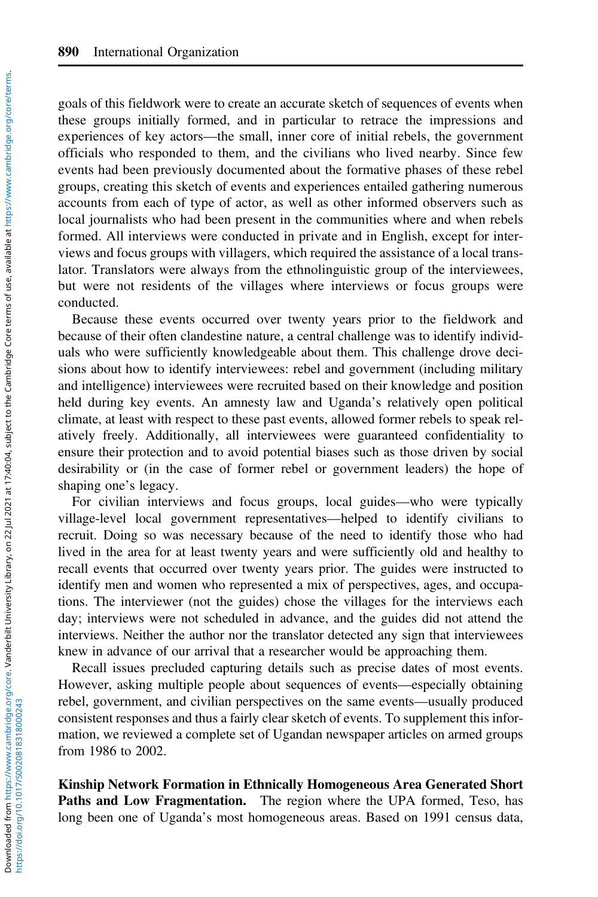goals of this fieldwork were to create an accurate sketch of sequences of events when these groups initially formed, and in particular to retrace the impressions and experiences of key actors—the small, inner core of initial rebels, the government officials who responded to them, and the civilians who lived nearby. Since few events had been previously documented about the formative phases of these rebel groups, creating this sketch of events and experiences entailed gathering numerous accounts from each of type of actor, as well as other informed observers such as local journalists who had been present in the communities where and when rebels formed. All interviews were conducted in private and in English, except for interviews and focus groups with villagers, which required the assistance of a local translator. Translators were always from the ethnolinguistic group of the interviewees, but were not residents of the villages where interviews or focus groups were conducted.

Because these events occurred over twenty years prior to the fieldwork and because of their often clandestine nature, a central challenge was to identify individuals who were sufficiently knowledgeable about them. This challenge drove decisions about how to identify interviewees: rebel and government (including military and intelligence) interviewees were recruited based on their knowledge and position held during key events. An amnesty law and Uganda's relatively open political climate, at least with respect to these past events, allowed former rebels to speak relatively freely. Additionally, all interviewees were guaranteed confidentiality to ensure their protection and to avoid potential biases such as those driven by social desirability or (in the case of former rebel or government leaders) the hope of shaping one's legacy.

For civilian interviews and focus groups, local guides—who were typically village-level local government representatives—helped to identify civilians to recruit. Doing so was necessary because of the need to identify those who had lived in the area for at least twenty years and were sufficiently old and healthy to recall events that occurred over twenty years prior. The guides were instructed to identify men and women who represented a mix of perspectives, ages, and occupations. The interviewer (not the guides) chose the villages for the interviews each day; interviews were not scheduled in advance, and the guides did not attend the interviews. Neither the author nor the translator detected any sign that interviewees knew in advance of our arrival that a researcher would be approaching them.

Recall issues precluded capturing details such as precise dates of most events. However, asking multiple people about sequences of events—especially obtaining rebel, government, and civilian perspectives on the same events—usually produced consistent responses and thus a fairly clear sketch of events. To supplement this information, we reviewed a complete set of Ugandan newspaper articles on armed groups from 1986 to 2002.

Kinship Network Formation in Ethnically Homogeneous Area Generated Short Paths and Low Fragmentation. The region where the UPA formed, Teso, has long been one of Uganda's most homogeneous areas. Based on 1991 census data,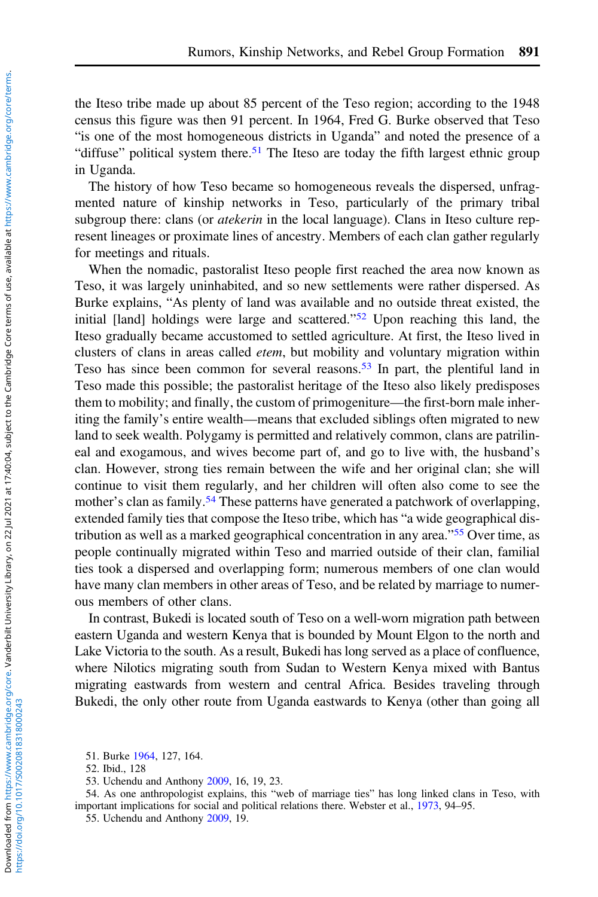the Iteso tribe made up about 85 percent of the Teso region; according to the 1948 census this figure was then 91 percent. In 1964, Fred G. Burke observed that Teso "is one of the most homogeneous districts in Uganda" and noted the presence of a "diffuse" political system there.<sup>51</sup> The Iteso are today the fifth largest ethnic group in Uganda.

The history of how Teso became so homogeneous reveals the dispersed, unfragmented nature of kinship networks in Teso, particularly of the primary tribal subgroup there: clans (or *atekerin* in the local language). Clans in Iteso culture represent lineages or proximate lines of ancestry. Members of each clan gather regularly for meetings and rituals.

When the nomadic, pastoralist Iteso people first reached the area now known as Teso, it was largely uninhabited, and so new settlements were rather dispersed. As Burke explains, "As plenty of land was available and no outside threat existed, the initial [land] holdings were large and scattered."<sup>52</sup> Upon reaching this land, the Iteso gradually became accustomed to settled agriculture. At first, the Iteso lived in clusters of clans in areas called etem, but mobility and voluntary migration within Teso has since been common for several reasons.<sup>53</sup> In part, the plentiful land in Teso made this possible; the pastoralist heritage of the Iteso also likely predisposes them to mobility; and finally, the custom of primogeniture—the first-born male inheriting the family's entire wealth—means that excluded siblings often migrated to new land to seek wealth. Polygamy is permitted and relatively common, clans are patrilineal and exogamous, and wives become part of, and go to live with, the husband's clan. However, strong ties remain between the wife and her original clan; she will continue to visit them regularly, and her children will often also come to see the mother's clan as family.<sup>54</sup> These patterns have generated a patchwork of overlapping, extended family ties that compose the Iteso tribe, which has "a wide geographical distribution as well as a marked geographical concentration in any area."<sup>55</sup> Over time, as people continually migrated within Teso and married outside of their clan, familial ties took a dispersed and overlapping form; numerous members of one clan would have many clan members in other areas of Teso, and be related by marriage to numerous members of other clans.

In contrast, Bukedi is located south of Teso on a well-worn migration path between eastern Uganda and western Kenya that is bounded by Mount Elgon to the north and Lake Victoria to the south. As a result, Bukedi has long served as a place of confluence, where Nilotics migrating south from Sudan to Western Kenya mixed with Bantus migrating eastwards from western and central Africa. Besides traveling through Bukedi, the only other route from Uganda eastwards to Kenya (other than going all

<sup>51.</sup> Burke [1964](#page-30-0), 127, 164.

<sup>52.</sup> Ibid., 128

<sup>53.</sup> Uchendu and Anthony [2009](#page-32-0), 16, 19, 23.

<sup>54.</sup> As one anthropologist explains, this "web of marriage ties" has long linked clans in Teso, with important implications for social and political relations there. Webster et al., [1973,](#page-32-0) 94–95.

<sup>55.</sup> Uchendu and Anthony [2009](#page-32-0), 19.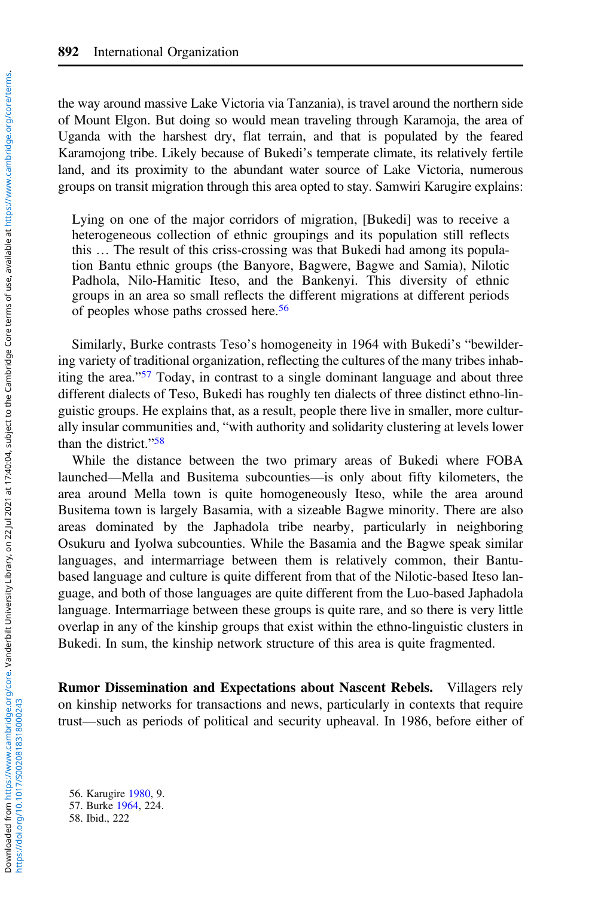the way around massive Lake Victoria via Tanzania), is travel around the northern side of Mount Elgon. But doing so would mean traveling through Karamoja, the area of Uganda with the harshest dry, flat terrain, and that is populated by the feared Karamojong tribe. Likely because of Bukedi's temperate climate, its relatively fertile land, and its proximity to the abundant water source of Lake Victoria, numerous groups on transit migration through this area opted to stay. Samwiri Karugire explains:

Lying on one of the major corridors of migration, [Bukedi] was to receive a heterogeneous collection of ethnic groupings and its population still reflects this … The result of this criss-crossing was that Bukedi had among its population Bantu ethnic groups (the Banyore, Bagwere, Bagwe and Samia), Nilotic Padhola, Nilo-Hamitic Iteso, and the Bankenyi. This diversity of ethnic groups in an area so small reflects the different migrations at different periods of peoples whose paths crossed here.<sup>56</sup>

Similarly, Burke contrasts Teso's homogeneity in 1964 with Bukedi's "bewildering variety of traditional organization, reflecting the cultures of the many tribes inhabiting the area."<sup>57</sup> Today, in contrast to a single dominant language and about three different dialects of Teso, Bukedi has roughly ten dialects of three distinct ethno-linguistic groups. He explains that, as a result, people there live in smaller, more culturally insular communities and, "with authority and solidarity clustering at levels lower than the district."<sup>58</sup>

While the distance between the two primary areas of Bukedi where FOBA launched—Mella and Busitema subcounties—is only about fifty kilometers, the area around Mella town is quite homogeneously Iteso, while the area around Busitema town is largely Basamia, with a sizeable Bagwe minority. There are also areas dominated by the Japhadola tribe nearby, particularly in neighboring Osukuru and Iyolwa subcounties. While the Basamia and the Bagwe speak similar languages, and intermarriage between them is relatively common, their Bantubased language and culture is quite different from that of the Nilotic-based Iteso language, and both of those languages are quite different from the Luo-based Japhadola language. Intermarriage between these groups is quite rare, and so there is very little overlap in any of the kinship groups that exist within the ethno-linguistic clusters in Bukedi. In sum, the kinship network structure of this area is quite fragmented.

Rumor Dissemination and Expectations about Nascent Rebels. Villagers rely on kinship networks for transactions and news, particularly in contexts that require trust—such as periods of political and security upheaval. In 1986, before either of

56. Karugire [1980,](#page-31-0) 9. 57. Burke [1964](#page-30-0), 224.

58. Ibid., 222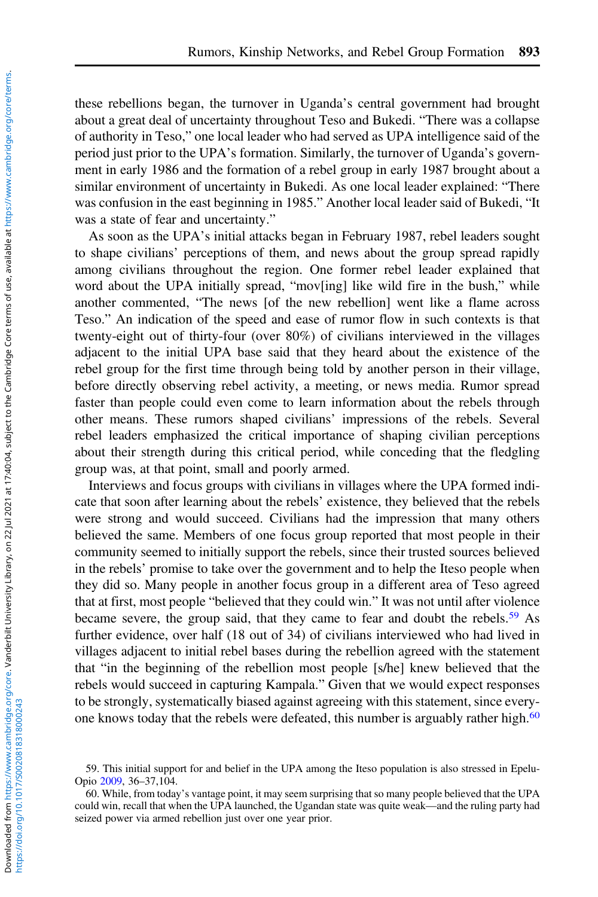these rebellions began, the turnover in Uganda's central government had brought about a great deal of uncertainty throughout Teso and Bukedi. "There was a collapse of authority in Teso," one local leader who had served as UPA intelligence said of the period just prior to the UPA's formation. Similarly, the turnover of Uganda's government in early 1986 and the formation of a rebel group in early 1987 brought about a similar environment of uncertainty in Bukedi. As one local leader explained: "There was confusion in the east beginning in 1985." Another local leader said of Bukedi, "It was a state of fear and uncertainty."

As soon as the UPA's initial attacks began in February 1987, rebel leaders sought to shape civilians' perceptions of them, and news about the group spread rapidly among civilians throughout the region. One former rebel leader explained that word about the UPA initially spread, "mov[ing] like wild fire in the bush," while another commented, "The news [of the new rebellion] went like a flame across Teso." An indication of the speed and ease of rumor flow in such contexts is that twenty-eight out of thirty-four (over 80%) of civilians interviewed in the villages adjacent to the initial UPA base said that they heard about the existence of the rebel group for the first time through being told by another person in their village, before directly observing rebel activity, a meeting, or news media. Rumor spread faster than people could even come to learn information about the rebels through other means. These rumors shaped civilians' impressions of the rebels. Several rebel leaders emphasized the critical importance of shaping civilian perceptions about their strength during this critical period, while conceding that the fledgling group was, at that point, small and poorly armed.

Interviews and focus groups with civilians in villages where the UPA formed indicate that soon after learning about the rebels' existence, they believed that the rebels were strong and would succeed. Civilians had the impression that many others believed the same. Members of one focus group reported that most people in their community seemed to initially support the rebels, since their trusted sources believed in the rebels' promise to take over the government and to help the Iteso people when they did so. Many people in another focus group in a different area of Teso agreed that at first, most people "believed that they could win." It was not until after violence became severe, the group said, that they came to fear and doubt the rebels.<sup>59</sup> As further evidence, over half (18 out of 34) of civilians interviewed who had lived in villages adjacent to initial rebel bases during the rebellion agreed with the statement that "in the beginning of the rebellion most people [s/he] knew believed that the rebels would succeed in capturing Kampala." Given that we would expect responses to be strongly, systematically biased against agreeing with this statement, since everyone knows today that the rebels were defeated, this number is arguably rather high. $60$ 

<sup>59.</sup> This initial support for and belief in the UPA among the Iteso population is also stressed in Epelu-Opio [2009](#page-30-0), 36–37,104.

<sup>60.</sup> While, from today's vantage point, it may seem surprising that so many people believed that the UPA could win, recall that when the UPA launched, the Ugandan state was quite weak—and the ruling party had seized power via armed rebellion just over one year prior.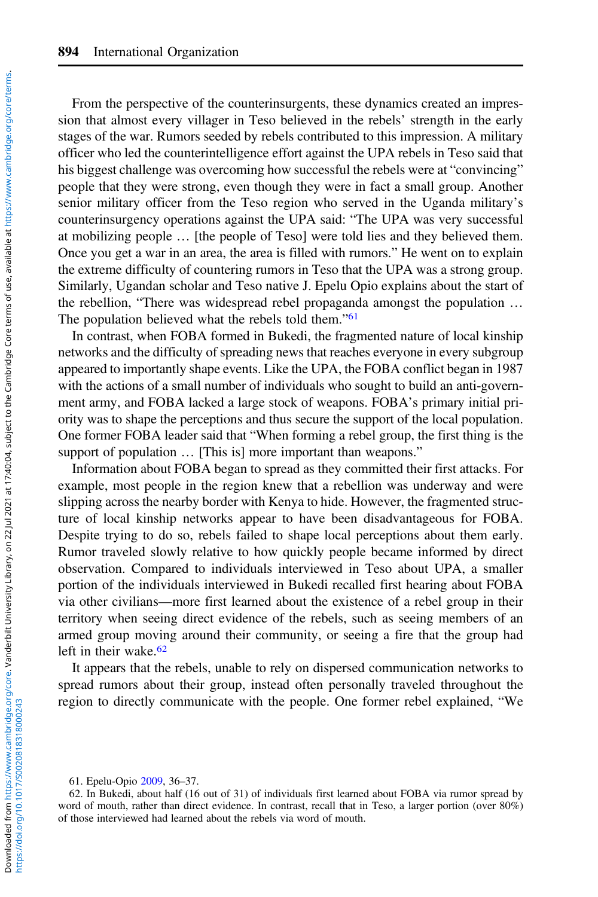From the perspective of the counterinsurgents, these dynamics created an impression that almost every villager in Teso believed in the rebels' strength in the early stages of the war. Rumors seeded by rebels contributed to this impression. A military officer who led the counterintelligence effort against the UPA rebels in Teso said that his biggest challenge was overcoming how successful the rebels were at "convincing" people that they were strong, even though they were in fact a small group. Another senior military officer from the Teso region who served in the Uganda military's counterinsurgency operations against the UPA said: "The UPA was very successful at mobilizing people … [the people of Teso] were told lies and they believed them. Once you get a war in an area, the area is filled with rumors." He went on to explain the extreme difficulty of countering rumors in Teso that the UPA was a strong group. Similarly, Ugandan scholar and Teso native J. Epelu Opio explains about the start of the rebellion, "There was widespread rebel propaganda amongst the population … The population believed what the rebels told them."<sup>61</sup>

In contrast, when FOBA formed in Bukedi, the fragmented nature of local kinship networks and the difficulty of spreading news that reaches everyone in every subgroup appeared to importantly shape events. Like the UPA, the FOBA conflict began in 1987 with the actions of a small number of individuals who sought to build an anti-government army, and FOBA lacked a large stock of weapons. FOBA's primary initial priority was to shape the perceptions and thus secure the support of the local population. One former FOBA leader said that "When forming a rebel group, the first thing is the support of population ... [This is] more important than weapons."

Information about FOBA began to spread as they committed their first attacks. For example, most people in the region knew that a rebellion was underway and were slipping across the nearby border with Kenya to hide. However, the fragmented structure of local kinship networks appear to have been disadvantageous for FOBA. Despite trying to do so, rebels failed to shape local perceptions about them early. Rumor traveled slowly relative to how quickly people became informed by direct observation. Compared to individuals interviewed in Teso about UPA, a smaller portion of the individuals interviewed in Bukedi recalled first hearing about FOBA via other civilians—more first learned about the existence of a rebel group in their territory when seeing direct evidence of the rebels, such as seeing members of an armed group moving around their community, or seeing a fire that the group had left in their wake. $62$ 

It appears that the rebels, unable to rely on dispersed communication networks to spread rumors about their group, instead often personally traveled throughout the region to directly communicate with the people. One former rebel explained, "We

61. Epelu-Opio [2009,](#page-30-0) 36–37.

<sup>62.</sup> In Bukedi, about half (16 out of 31) of individuals first learned about FOBA via rumor spread by word of mouth, rather than direct evidence. In contrast, recall that in Teso, a larger portion (over 80%) of those interviewed had learned about the rebels via word of mouth.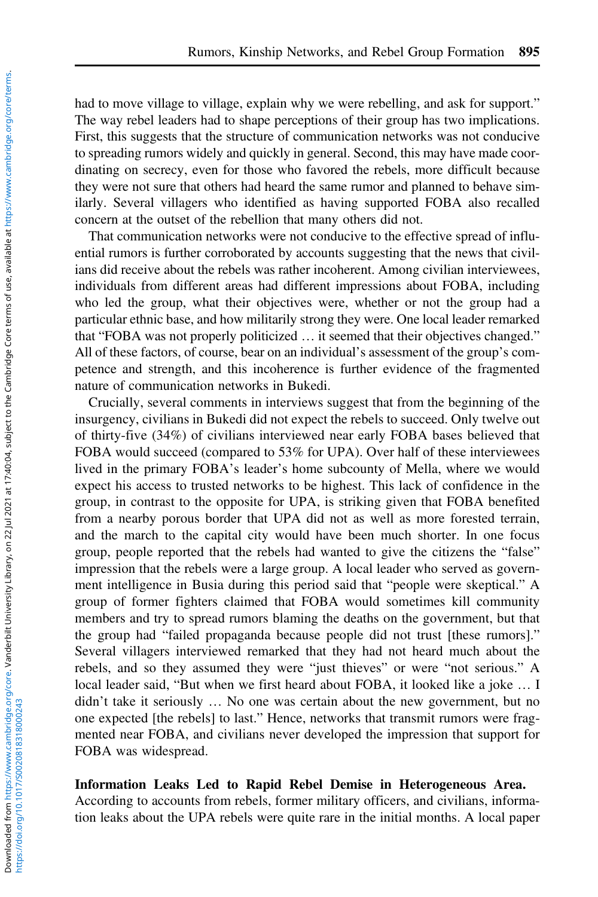had to move village to village, explain why we were rebelling, and ask for support." The way rebel leaders had to shape perceptions of their group has two implications. First, this suggests that the structure of communication networks was not conducive to spreading rumors widely and quickly in general. Second, this may have made coordinating on secrecy, even for those who favored the rebels, more difficult because they were not sure that others had heard the same rumor and planned to behave similarly. Several villagers who identified as having supported FOBA also recalled concern at the outset of the rebellion that many others did not.

That communication networks were not conducive to the effective spread of influential rumors is further corroborated by accounts suggesting that the news that civilians did receive about the rebels was rather incoherent. Among civilian interviewees, individuals from different areas had different impressions about FOBA, including who led the group, what their objectives were, whether or not the group had a particular ethnic base, and how militarily strong they were. One local leader remarked that "FOBA was not properly politicized … it seemed that their objectives changed." All of these factors, of course, bear on an individual's assessment of the group's competence and strength, and this incoherence is further evidence of the fragmented nature of communication networks in Bukedi.

Crucially, several comments in interviews suggest that from the beginning of the insurgency, civilians in Bukedi did not expect the rebels to succeed. Only twelve out of thirty-five (34%) of civilians interviewed near early FOBA bases believed that FOBA would succeed (compared to 53% for UPA). Over half of these interviewees lived in the primary FOBA's leader's home subcounty of Mella, where we would expect his access to trusted networks to be highest. This lack of confidence in the group, in contrast to the opposite for UPA, is striking given that FOBA benefited from a nearby porous border that UPA did not as well as more forested terrain, and the march to the capital city would have been much shorter. In one focus group, people reported that the rebels had wanted to give the citizens the "false" impression that the rebels were a large group. A local leader who served as government intelligence in Busia during this period said that "people were skeptical." A group of former fighters claimed that FOBA would sometimes kill community members and try to spread rumors blaming the deaths on the government, but that the group had "failed propaganda because people did not trust [these rumors]." Several villagers interviewed remarked that they had not heard much about the rebels, and so they assumed they were "just thieves" or were "not serious." A local leader said, "But when we first heard about FOBA, it looked like a joke … I didn't take it seriously … No one was certain about the new government, but no one expected [the rebels] to last." Hence, networks that transmit rumors were fragmented near FOBA, and civilians never developed the impression that support for FOBA was widespread.

# Information Leaks Led to Rapid Rebel Demise in Heterogeneous Area.

According to accounts from rebels, former military officers, and civilians, information leaks about the UPA rebels were quite rare in the initial months. A local paper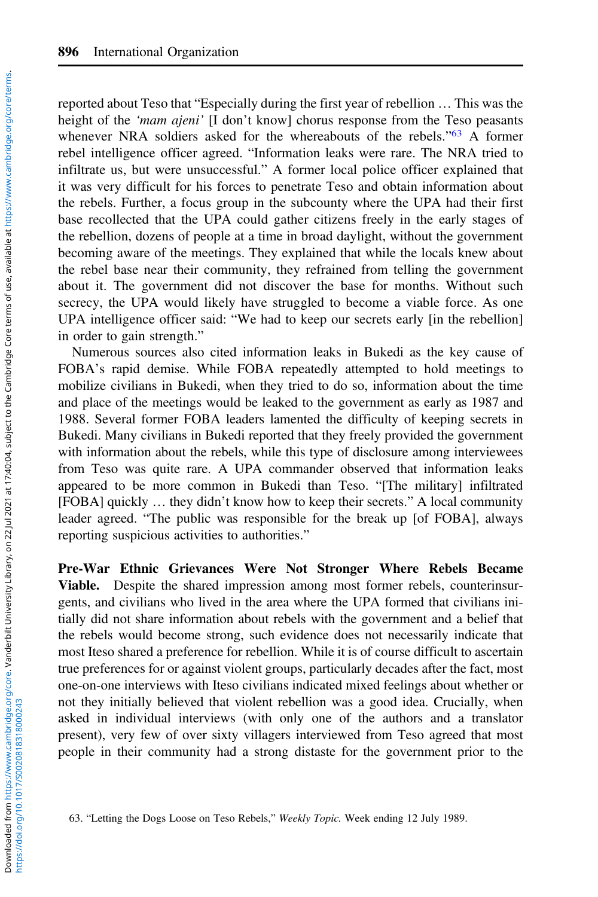reported about Teso that "Especially during the first year of rebellion … This was the height of the *'mam ajeni'* [I don't know] chorus response from the Teso peasants whenever NRA soldiers asked for the whereabouts of the rebels."<sup>63</sup> A former rebel intelligence officer agreed. "Information leaks were rare. The NRA tried to infiltrate us, but were unsuccessful." A former local police officer explained that it was very difficult for his forces to penetrate Teso and obtain information about the rebels. Further, a focus group in the subcounty where the UPA had their first base recollected that the UPA could gather citizens freely in the early stages of the rebellion, dozens of people at a time in broad daylight, without the government becoming aware of the meetings. They explained that while the locals knew about the rebel base near their community, they refrained from telling the government about it. The government did not discover the base for months. Without such secrecy, the UPA would likely have struggled to become a viable force. As one UPA intelligence officer said: "We had to keep our secrets early [in the rebellion] in order to gain strength."

Numerous sources also cited information leaks in Bukedi as the key cause of FOBA's rapid demise. While FOBA repeatedly attempted to hold meetings to mobilize civilians in Bukedi, when they tried to do so, information about the time and place of the meetings would be leaked to the government as early as 1987 and 1988. Several former FOBA leaders lamented the difficulty of keeping secrets in Bukedi. Many civilians in Bukedi reported that they freely provided the government with information about the rebels, while this type of disclosure among interviewees from Teso was quite rare. A UPA commander observed that information leaks appeared to be more common in Bukedi than Teso. "[The military] infiltrated [FOBA] quickly … they didn't know how to keep their secrets." A local community leader agreed. "The public was responsible for the break up [of FOBA], always reporting suspicious activities to authorities."

Pre-War Ethnic Grievances Were Not Stronger Where Rebels Became Viable. Despite the shared impression among most former rebels, counterinsurgents, and civilians who lived in the area where the UPA formed that civilians initially did not share information about rebels with the government and a belief that the rebels would become strong, such evidence does not necessarily indicate that most Iteso shared a preference for rebellion. While it is of course difficult to ascertain true preferences for or against violent groups, particularly decades after the fact, most one-on-one interviews with Iteso civilians indicated mixed feelings about whether or not they initially believed that violent rebellion was a good idea. Crucially, when asked in individual interviews (with only one of the authors and a translator present), very few of over sixty villagers interviewed from Teso agreed that most people in their community had a strong distaste for the government prior to the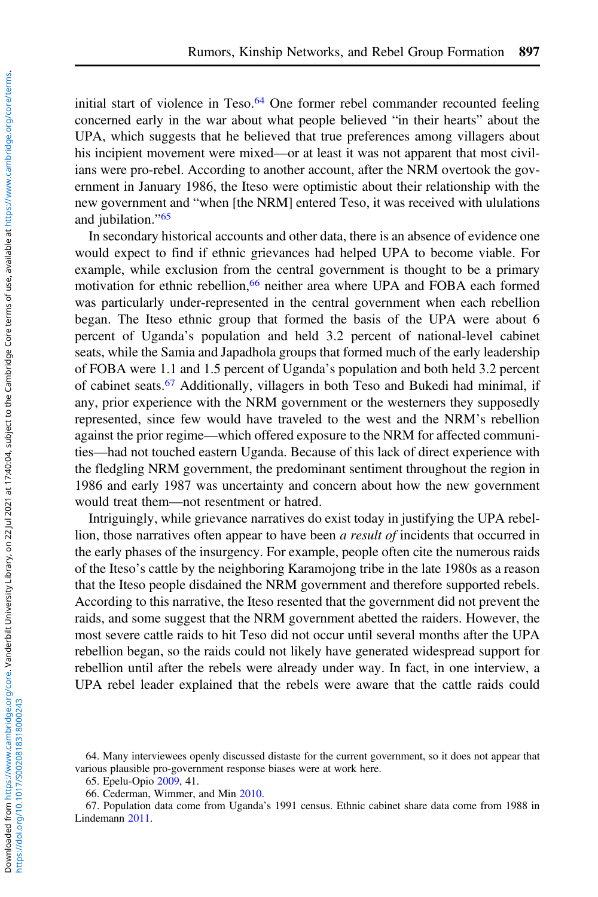initial start of violence in Teso.<sup>64</sup> One former rebel commander recounted feeling concerned early in the war about what people believed "in their hearts" about the UPA, which suggests that he believed that true preferences among villagers about his incipient movement were mixed—or at least it was not apparent that most civilians were pro-rebel. According to another account, after the NRM overtook the government in January 1986, the Iteso were optimistic about their relationship with the new government and "when [the NRM] entered Teso, it was received with ululations and jubilation."<sup>65</sup>

In secondary historical accounts and other data, there is an absence of evidence one would expect to find if ethnic grievances had helped UPA to become viable. For example, while exclusion from the central government is thought to be a primary motivation for ethnic rebellion,<sup>66</sup> neither area where UPA and FOBA each formed was particularly under-represented in the central government when each rebellion began. The Iteso ethnic group that formed the basis of the UPA were about 6 percent of Uganda's population and held 3.2 percent of national-level cabinet seats, while the Samia and Japadhola groups that formed much of the early leadership of FOBA were 1.1 and 1.5 percent of Uganda's population and both held 3.2 percent of cabinet seats.<sup>67</sup> Additionally, villagers in both Teso and Bukedi had minimal, if any, prior experience with the NRM government or the westerners they supposedly represented, since few would have traveled to the west and the NRM's rebellion against the prior regime—which offered exposure to the NRM for affected communities—had not touched eastern Uganda. Because of this lack of direct experience with the fledgling NRM government, the predominant sentiment throughout the region in 1986 and early 1987 was uncertainty and concern about how the new government would treat them—not resentment or hatred.

Intriguingly, while grievance narratives do exist today in justifying the UPA rebellion, those narratives often appear to have been a result of incidents that occurred in the early phases of the insurgency. For example, people often cite the numerous raids of the Iteso's cattle by the neighboring Karamojong tribe in the late 1980s as a reason that the Iteso people disdained the NRM government and therefore supported rebels. According to this narrative, the Iteso resented that the government did not prevent the raids, and some suggest that the NRM government abetted the raiders. However, the most severe cattle raids to hit Teso did not occur until several months after the UPA rebellion began, so the raids could not likely have generated widespread support for rebellion until after the rebels were already under way. In fact, in one interview, a UPA rebel leader explained that the rebels were aware that the cattle raids could

<sup>64.</sup> Many interviewees openly discussed distaste for the current government, so it does not appear that various plausible pro-government response biases were at work here.

<sup>65.</sup> Epelu-Opio [2009,](#page-30-0) 41.

<sup>66.</sup> Cederman, Wimmer, and Min [2010](#page-30-0).

<sup>67.</sup> Population data come from Uganda's 1991 census. Ethnic cabinet share data come from 1988 in Lindemann [2011](#page-31-0).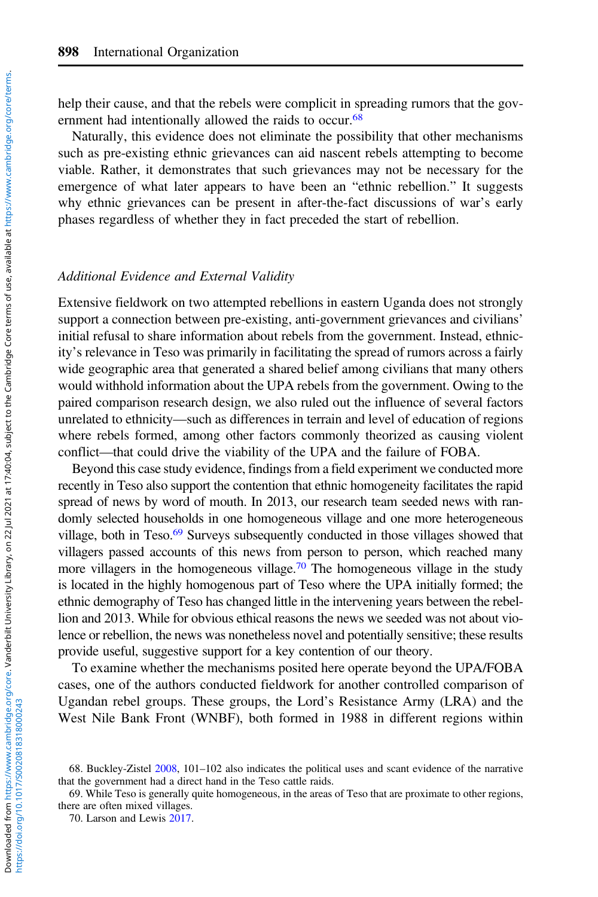help their cause, and that the rebels were complicit in spreading rumors that the government had intentionally allowed the raids to occur.<sup>68</sup>

Naturally, this evidence does not eliminate the possibility that other mechanisms such as pre-existing ethnic grievances can aid nascent rebels attempting to become viable. Rather, it demonstrates that such grievances may not be necessary for the emergence of what later appears to have been an "ethnic rebellion." It suggests why ethnic grievances can be present in after-the-fact discussions of war's early phases regardless of whether they in fact preceded the start of rebellion.

#### Additional Evidence and External Validity

Extensive fieldwork on two attempted rebellions in eastern Uganda does not strongly support a connection between pre-existing, anti-government grievances and civilians' initial refusal to share information about rebels from the government. Instead, ethnicity's relevance in Teso was primarily in facilitating the spread of rumors across a fairly wide geographic area that generated a shared belief among civilians that many others would withhold information about the UPA rebels from the government. Owing to the paired comparison research design, we also ruled out the influence of several factors unrelated to ethnicity—such as differences in terrain and level of education of regions where rebels formed, among other factors commonly theorized as causing violent conflict—that could drive the viability of the UPA and the failure of FOBA.

Beyond this case study evidence, findings from a field experiment we conducted more recently in Teso also support the contention that ethnic homogeneity facilitates the rapid spread of news by word of mouth. In 2013, our research team seeded news with randomly selected households in one homogeneous village and one more heterogeneous village, both in Teso.<sup>69</sup> Surveys subsequently conducted in those villages showed that villagers passed accounts of this news from person to person, which reached many more villagers in the homogeneous village.<sup>70</sup> The homogeneous village in the study is located in the highly homogenous part of Teso where the UPA initially formed; the ethnic demography of Teso has changed little in the intervening years between the rebellion and 2013. While for obvious ethical reasons the news we seeded was not about violence or rebellion, the news was nonetheless novel and potentially sensitive; these results provide useful, suggestive support for a key contention of our theory.

To examine whether the mechanisms posited here operate beyond the UPA/FOBA cases, one of the authors conducted fieldwork for another controlled comparison of Ugandan rebel groups. These groups, the Lord's Resistance Army (LRA) and the West Nile Bank Front (WNBF), both formed in 1988 in different regions within

https://doi.org/10.1017/S0020818318000243

<sup>68.</sup> Buckley-Zistel [2008,](#page-30-0) 101–102 also indicates the political uses and scant evidence of the narrative that the government had a direct hand in the Teso cattle raids.

<sup>69.</sup> While Teso is generally quite homogeneous, in the areas of Teso that are proximate to other regions, there are often mixed villages.

<sup>70.</sup> Larson and Lewis [2017](#page-31-0).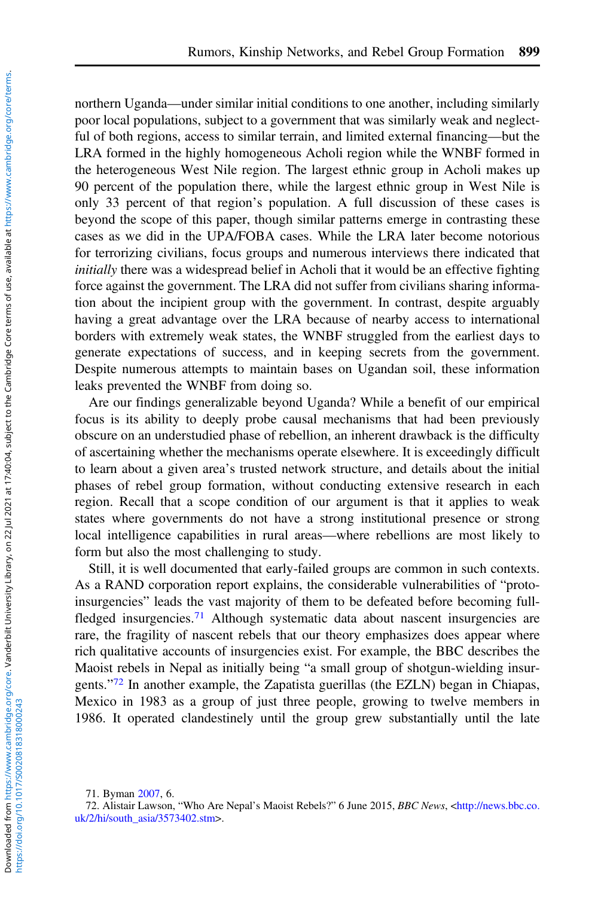northern Uganda—under similar initial conditions to one another, including similarly poor local populations, subject to a government that was similarly weak and neglectful of both regions, access to similar terrain, and limited external financing—but the LRA formed in the highly homogeneous Acholi region while the WNBF formed in the heterogeneous West Nile region. The largest ethnic group in Acholi makes up 90 percent of the population there, while the largest ethnic group in West Nile is only 33 percent of that region's population. A full discussion of these cases is beyond the scope of this paper, though similar patterns emerge in contrasting these cases as we did in the UPA/FOBA cases. While the LRA later become notorious for terrorizing civilians, focus groups and numerous interviews there indicated that initially there was a widespread belief in Acholi that it would be an effective fighting force against the government. The LRA did not suffer from civilians sharing information about the incipient group with the government. In contrast, despite arguably having a great advantage over the LRA because of nearby access to international borders with extremely weak states, the WNBF struggled from the earliest days to generate expectations of success, and in keeping secrets from the government. Despite numerous attempts to maintain bases on Ugandan soil, these information leaks prevented the WNBF from doing so.

Are our findings generalizable beyond Uganda? While a benefit of our empirical focus is its ability to deeply probe causal mechanisms that had been previously obscure on an understudied phase of rebellion, an inherent drawback is the difficulty of ascertaining whether the mechanisms operate elsewhere. It is exceedingly difficult to learn about a given area's trusted network structure, and details about the initial phases of rebel group formation, without conducting extensive research in each region. Recall that a scope condition of our argument is that it applies to weak states where governments do not have a strong institutional presence or strong local intelligence capabilities in rural areas—where rebellions are most likely to form but also the most challenging to study.

Still, it is well documented that early-failed groups are common in such contexts. As a RAND corporation report explains, the considerable vulnerabilities of "protoinsurgencies" leads the vast majority of them to be defeated before becoming fullfledged insurgencies.<sup>71</sup> Although systematic data about nascent insurgencies are rare, the fragility of nascent rebels that our theory emphasizes does appear where rich qualitative accounts of insurgencies exist. For example, the BBC describes the Maoist rebels in Nepal as initially being "a small group of shotgun-wielding insurgents."<sup>72</sup> In another example, the Zapatista guerillas (the EZLN) began in Chiapas, Mexico in 1983 as a group of just three people, growing to twelve members in 1986. It operated clandestinely until the group grew substantially until the late

<sup>71.</sup> Byman [2007,](#page-30-0) 6.

<sup>72.</sup> Alistair Lawson, "Who Are Nepal's Maoist Rebels?" 6 June 2015, BBC News, [<http://news.bbc.co.](http://news.bbc.co.uk/2/hi/south_asia/3573402.stm) [uk/2/hi/south\\_asia/3573402.stm](http://news.bbc.co.uk/2/hi/south_asia/3573402.stm)>.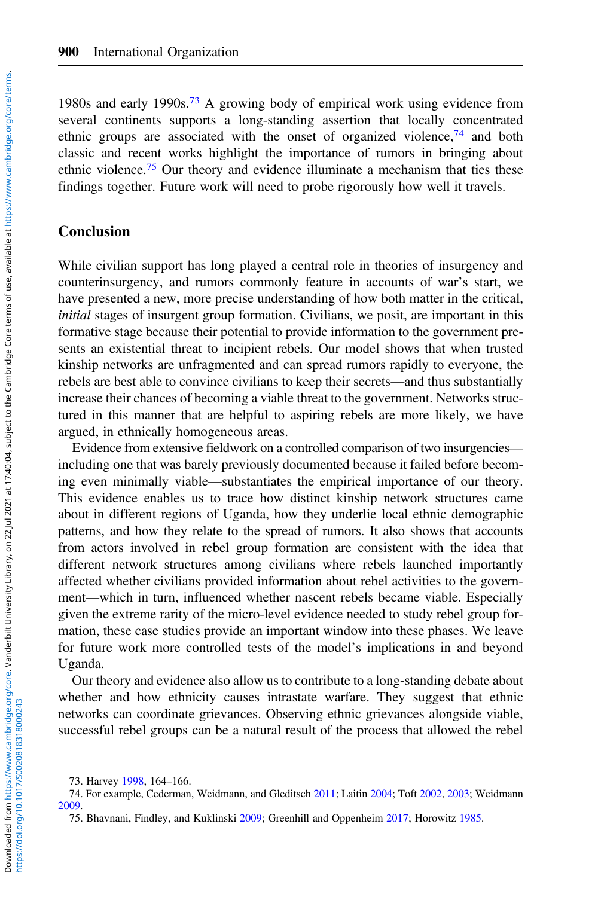1980s and early 1990s.<sup>73</sup> A growing body of empirical work using evidence from several continents supports a long-standing assertion that locally concentrated ethnic groups are associated with the onset of organized violence,<sup>74</sup> and both classic and recent works highlight the importance of rumors in bringing about ethnic violence.<sup>75</sup> Our theory and evidence illuminate a mechanism that ties these findings together. Future work will need to probe rigorously how well it travels.

# Conclusion

While civilian support has long played a central role in theories of insurgency and counterinsurgency, and rumors commonly feature in accounts of war's start, we have presented a new, more precise understanding of how both matter in the critical, initial stages of insurgent group formation. Civilians, we posit, are important in this formative stage because their potential to provide information to the government presents an existential threat to incipient rebels. Our model shows that when trusted kinship networks are unfragmented and can spread rumors rapidly to everyone, the rebels are best able to convince civilians to keep their secrets—and thus substantially increase their chances of becoming a viable threat to the government. Networks structured in this manner that are helpful to aspiring rebels are more likely, we have argued, in ethnically homogeneous areas.

Evidence from extensive fieldwork on a controlled comparison of two insurgencies including one that was barely previously documented because it failed before becoming even minimally viable—substantiates the empirical importance of our theory. This evidence enables us to trace how distinct kinship network structures came about in different regions of Uganda, how they underlie local ethnic demographic patterns, and how they relate to the spread of rumors. It also shows that accounts from actors involved in rebel group formation are consistent with the idea that different network structures among civilians where rebels launched importantly affected whether civilians provided information about rebel activities to the government—which in turn, influenced whether nascent rebels became viable. Especially given the extreme rarity of the micro-level evidence needed to study rebel group formation, these case studies provide an important window into these phases. We leave for future work more controlled tests of the model's implications in and beyond Uganda.

Our theory and evidence also allow us to contribute to a long-standing debate about whether and how ethnicity causes intrastate warfare. They suggest that ethnic networks can coordinate grievances. Observing ethnic grievances alongside viable, successful rebel groups can be a natural result of the process that allowed the rebel

https://doi.org/10.1017/S0020818318000243

<sup>73.</sup> Harvey [1998,](#page-31-0) 164–166.

<sup>74.</sup> For example, Cederman, Weidmann, and Gleditsch [2011;](#page-30-0) Laitin [2004](#page-31-0); Toft [2002](#page-32-0), [2003](#page-32-0); Weidmann [2009.](#page-32-0)

<sup>75.</sup> Bhavnani, Findley, and Kuklinski [2009](#page-30-0); Greenhill and Oppenheim [2017](#page-31-0); Horowitz [1985.](#page-31-0)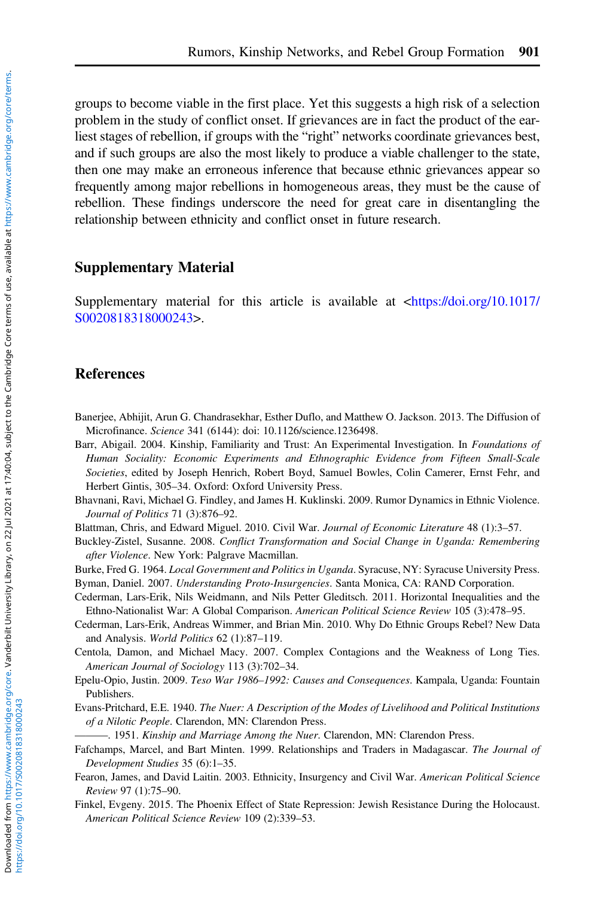<span id="page-30-0"></span>groups to become viable in the first place. Yet this suggests a high risk of a selection problem in the study of conflict onset. If grievances are in fact the product of the earliest stages of rebellion, if groups with the "right" networks coordinate grievances best, and if such groups are also the most likely to produce a viable challenger to the state, then one may make an erroneous inference that because ethnic grievances appear so frequently among major rebellions in homogeneous areas, they must be the cause of rebellion. These findings underscore the need for great care in disentangling the relationship between ethnicity and conflict onset in future research.

# Supplementary Material

Supplementary material for this article is available at [<https://doi.org/10.1017/](https://doi.org/10.1017/S0020818318000243) [S0020818318000243>](https://doi.org/10.1017/S0020818318000243).

# References

Banerjee, Abhijit, Arun G. Chandrasekhar, Esther Duflo, and Matthew O. Jackson. 2013. The Diffusion of Microfinance. Science 341 (6144): doi: 10.1126/science.1236498.

Barr, Abigail. 2004. Kinship, Familiarity and Trust: An Experimental Investigation. In Foundations of Human Sociality: Economic Experiments and Ethnographic Evidence from Fifteen Small-Scale Societies, edited by Joseph Henrich, Robert Boyd, Samuel Bowles, Colin Camerer, Ernst Fehr, and Herbert Gintis, 305–34. Oxford: Oxford University Press.

Bhavnani, Ravi, Michael G. Findley, and James H. Kuklinski. 2009. Rumor Dynamics in Ethnic Violence. Journal of Politics 71 (3):876–92.

Blattman, Chris, and Edward Miguel. 2010. Civil War. Journal of Economic Literature 48 (1):3–57.

Buckley-Zistel, Susanne. 2008. Conflict Transformation and Social Change in Uganda: Remembering after Violence. New York: Palgrave Macmillan.

Burke, Fred G. 1964. Local Government and Politics in Uganda. Syracuse, NY: Syracuse University Press. Byman, Daniel. 2007. Understanding Proto-Insurgencies. Santa Monica, CA: RAND Corporation.

- Cederman, Lars-Erik, Nils Weidmann, and Nils Petter Gleditsch. 2011. Horizontal Inequalities and the Ethno-Nationalist War: A Global Comparison. American Political Science Review 105 (3):478–95.
- Cederman, Lars-Erik, Andreas Wimmer, and Brian Min. 2010. Why Do Ethnic Groups Rebel? New Data and Analysis. World Politics 62 (1):87–119.
- Centola, Damon, and Michael Macy. 2007. Complex Contagions and the Weakness of Long Ties. American Journal of Sociology 113 (3):702–34.
- Epelu-Opio, Justin. 2009. Teso War 1986–1992: Causes and Consequences. Kampala, Uganda: Fountain Publishers.
- Evans-Pritchard, E.E. 1940. The Nuer: A Description of the Modes of Livelihood and Political Institutions of a Nilotic People. Clarendon, MN: Clarendon Press.
	- -. 1951. Kinship and Marriage Among the Nuer. Clarendon, MN: Clarendon Press.
- Fafchamps, Marcel, and Bart Minten. 1999. Relationships and Traders in Madagascar. The Journal of Development Studies 35 (6):1–35.
- Fearon, James, and David Laitin. 2003. Ethnicity, Insurgency and Civil War. American Political Science Review 97 (1):75–90.
- Finkel, Evgeny. 2015. The Phoenix Effect of State Repression: Jewish Resistance During the Holocaust. American Political Science Review 109 (2):339–53.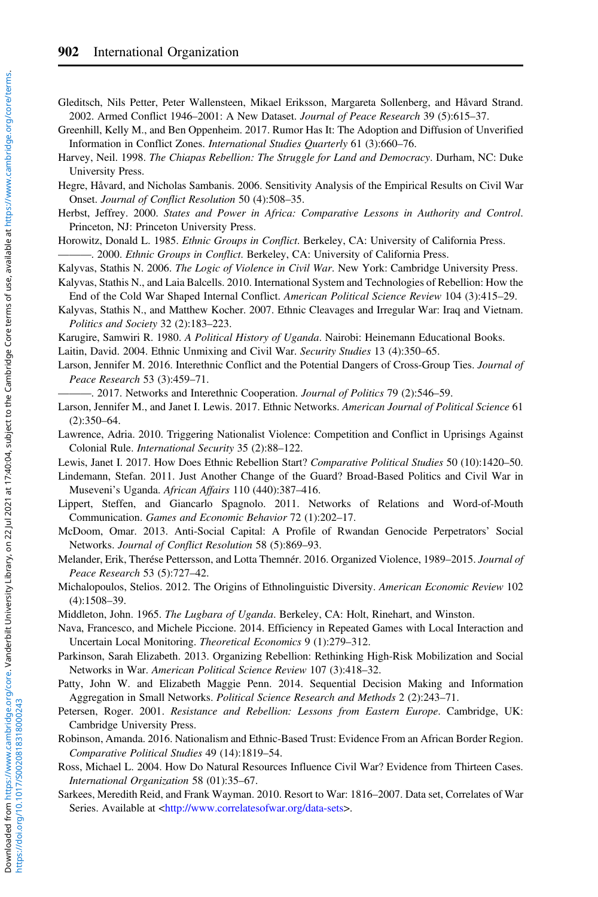- <span id="page-31-0"></span>Gleditsch, Nils Petter, Peter Wallensteen, Mikael Eriksson, Margareta Sollenberg, and Håvard Strand. 2002. Armed Conflict 1946–2001: A New Dataset. Journal of Peace Research 39 (5):615–37.
- Greenhill, Kelly M., and Ben Oppenheim. 2017. Rumor Has It: The Adoption and Diffusion of Unverified Information in Conflict Zones. International Studies Quarterly 61 (3):660–76.
- Harvey, Neil. 1998. The Chiapas Rebellion: The Struggle for Land and Democracy. Durham, NC: Duke University Press.
- Hegre, Håvard, and Nicholas Sambanis. 2006. Sensitivity Analysis of the Empirical Results on Civil War Onset. Journal of Conflict Resolution 50 (4):508–35.
- Herbst, Jeffrey. 2000. States and Power in Africa: Comparative Lessons in Authority and Control. Princeton, NJ: Princeton University Press.
- Horowitz, Donald L. 1985. Ethnic Groups in Conflict. Berkeley, CA: University of California Press. -. 2000. Ethnic Groups in Conflict. Berkeley, CA: University of California Press.
- Kalyvas, Stathis N. 2006. The Logic of Violence in Civil War. New York: Cambridge University Press. Kalyvas, Stathis N., and Laia Balcells. 2010. International System and Technologies of Rebellion: How the
- End of the Cold War Shaped Internal Conflict. American Political Science Review 104 (3):415–29.
- Kalyvas, Stathis N., and Matthew Kocher. 2007. Ethnic Cleavages and Irregular War: Iraq and Vietnam. Politics and Society 32 (2):183–223.
- Karugire, Samwiri R. 1980. A Political History of Uganda. Nairobi: Heinemann Educational Books.

Laitin, David. 2004. Ethnic Unmixing and Civil War. Security Studies 13 (4):350–65.

- Larson, Jennifer M. 2016. Interethnic Conflict and the Potential Dangers of Cross-Group Ties. Journal of Peace Research 53 (3):459–71.
	- -, 2017. Networks and Interethnic Cooperation. *Journal of Politics* 79 (2):546–59.
- Larson, Jennifer M., and Janet I. Lewis. 2017. Ethnic Networks. American Journal of Political Science 61 (2):350–64.
- Lawrence, Adria. 2010. Triggering Nationalist Violence: Competition and Conflict in Uprisings Against Colonial Rule. International Security 35 (2):88–122.
- Lewis, Janet I. 2017. How Does Ethnic Rebellion Start? Comparative Political Studies 50 (10):1420–50.
- Lindemann, Stefan. 2011. Just Another Change of the Guard? Broad-Based Politics and Civil War in Museveni's Uganda. African Affairs 110 (440):387–416.
- Lippert, Steffen, and Giancarlo Spagnolo. 2011. Networks of Relations and Word-of-Mouth Communication. Games and Economic Behavior 72 (1):202–17.
- McDoom, Omar. 2013. Anti-Social Capital: A Profile of Rwandan Genocide Perpetrators' Social Networks. Journal of Conflict Resolution 58 (5):869–93.
- Melander, Erik, Therése Pettersson, and Lotta Themnér. 2016. Organized Violence, 1989–2015. Journal of Peace Research 53 (5):727–42.
- Michalopoulos, Stelios. 2012. The Origins of Ethnolinguistic Diversity. American Economic Review 102 (4):1508–39.
- Middleton, John. 1965. The Lugbara of Uganda. Berkeley, CA: Holt, Rinehart, and Winston.
- Nava, Francesco, and Michele Piccione. 2014. Efficiency in Repeated Games with Local Interaction and Uncertain Local Monitoring. Theoretical Economics 9 (1):279–312.
- Parkinson, Sarah Elizabeth. 2013. Organizing Rebellion: Rethinking High-Risk Mobilization and Social Networks in War. American Political Science Review 107 (3):418–32.
- Patty, John W. and Elizabeth Maggie Penn. 2014. Sequential Decision Making and Information Aggregation in Small Networks. Political Science Research and Methods 2 (2):243–71.
- Petersen, Roger. 2001. Resistance and Rebellion: Lessons from Eastern Europe. Cambridge, UK: Cambridge University Press.
- Robinson, Amanda. 2016. Nationalism and Ethnic-Based Trust: Evidence From an African Border Region. Comparative Political Studies 49 (14):1819–54.
- Ross, Michael L. 2004. How Do Natural Resources Influence Civil War? Evidence from Thirteen Cases. International Organization 58 (01):35–67.
- Sarkees, Meredith Reid, and Frank Wayman. 2010. Resort to War: 1816–2007. Data set, Correlates of War Series. Available at [<http://www.correlatesofwar.org/data-sets](http://www.correlatesofwar.org/data-sets)>.